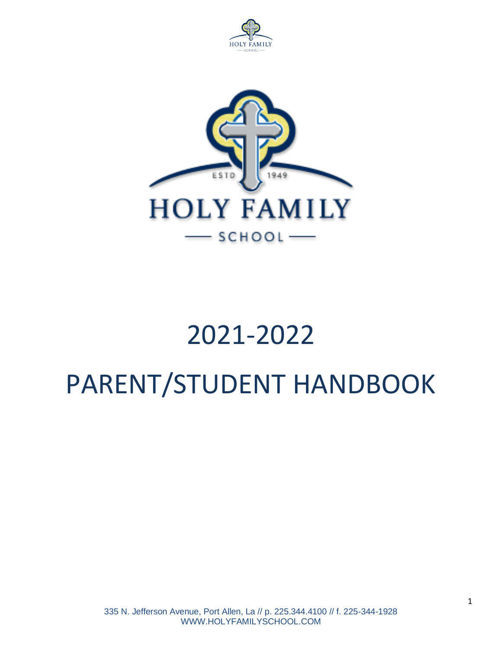



# 2021-2022 PARENT/STUDENT HANDBOOK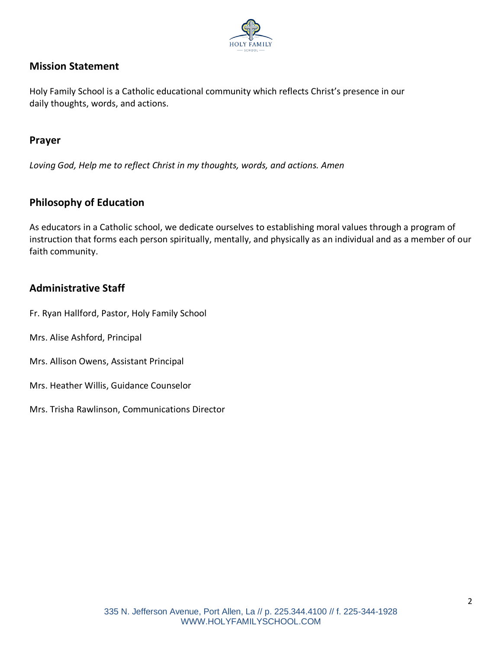

# **Mission Statement**

Holy Family School is a Catholic educational community which reflects Christ's presence in our daily thoughts, words, and actions.

## **Prayer**

*Loving God, Help me to reflect Christ in my thoughts, words, and actions. Amen*

## **Philosophy of Education**

As educators in a Catholic school, we dedicate ourselves to establishing moral values through a program of instruction that forms each person spiritually, mentally, and physically as an individual and as a member of our faith community.

## **Administrative Staff**

Fr. Ryan Hallford, Pastor, Holy Family School

- Mrs. Alise Ashford, Principal
- Mrs. Allison Owens, Assistant Principal
- Mrs. Heather Willis, Guidance Counselor
- Mrs. Trisha Rawlinson, Communications Director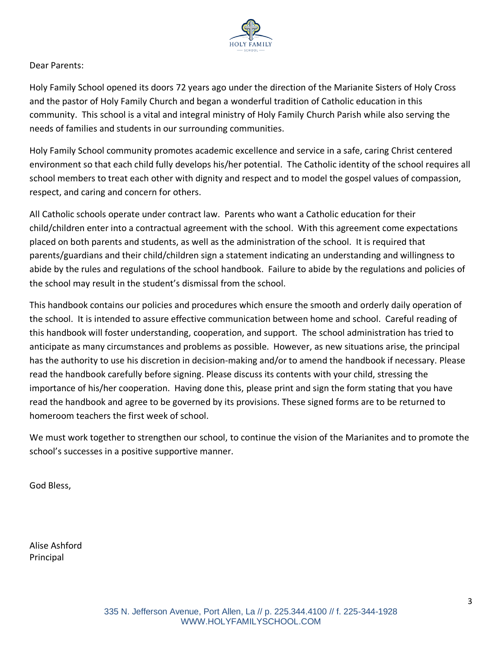

Dear Parents:

Holy Family School opened its doors 72 years ago under the direction of the Marianite Sisters of Holy Cross and the pastor of Holy Family Church and began a wonderful tradition of Catholic education in this community. This school is a vital and integral ministry of Holy Family Church Parish while also serving the needs of families and students in our surrounding communities.

Holy Family School community promotes academic excellence and service in a safe, caring Christ centered environment so that each child fully develops his/her potential. The Catholic identity of the school requires all school members to treat each other with dignity and respect and to model the gospel values of compassion, respect, and caring and concern for others.

All Catholic schools operate under contract law. Parents who want a Catholic education for their child/children enter into a contractual agreement with the school. With this agreement come expectations placed on both parents and students, as well as the administration of the school. It is required that parents/guardians and their child/children sign a statement indicating an understanding and willingness to abide by the rules and regulations of the school handbook. Failure to abide by the regulations and policies of the school may result in the student's dismissal from the school.

This handbook contains our policies and procedures which ensure the smooth and orderly daily operation of the school. It is intended to assure effective communication between home and school. Careful reading of this handbook will foster understanding, cooperation, and support. The school administration has tried to anticipate as many circumstances and problems as possible. However, as new situations arise, the principal has the authority to use his discretion in decision-making and/or to amend the handbook if necessary. Please read the handbook carefully before signing. Please discuss its contents with your child, stressing the importance of his/her cooperation. Having done this, please print and sign the form stating that you have read the handbook and agree to be governed by its provisions. These signed forms are to be returned to homeroom teachers the first week of school.

We must work together to strengthen our school, to continue the vision of the Marianites and to promote the school's successes in a positive supportive manner.

God Bless,

Alise Ashford Principal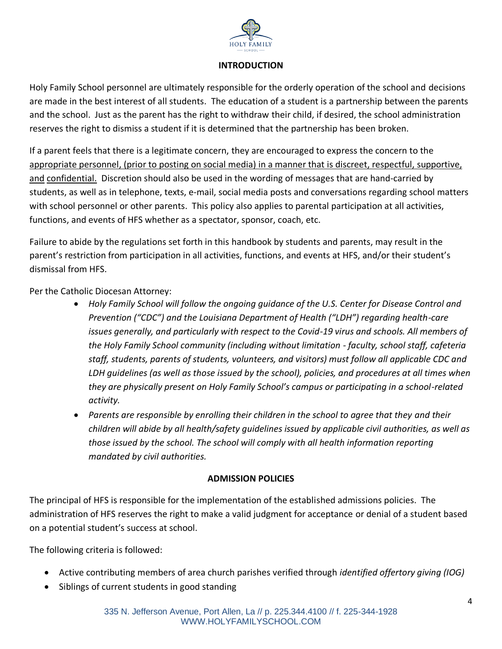

## **INTRODUCTION**

Holy Family School personnel are ultimately responsible for the orderly operation of the school and decisions are made in the best interest of all students.The education of a student is a partnership between the parents and the school. Just as the parent has the right to withdraw their child, if desired, the school administration reserves the right to dismiss a student if it is determined that the partnership has been broken.

If a parent feels that there is a legitimate concern, they are encouraged to express the concern to the appropriate personnel, (prior to posting on social media) in a manner that is discreet, respectful, supportive, and confidential. Discretion should also be used in the wording of messages that are hand-carried by students, as well as in telephone, texts, e-mail, social media posts and conversations regarding school matters with school personnel or other parents. This policy also applies to parental participation at all activities, functions, and events of HFS whether as a spectator, sponsor, coach, etc.

Failure to abide by the regulations set forth in this handbook by students and parents, may result in the parent's restriction from participation in all activities, functions, and events at HFS, and/or their student's dismissal from HFS.

Per the Catholic Diocesan Attorney:

- *Holy Family School will follow the ongoing guidance of the U.S. Center for Disease Control and Prevention ("CDC") and the Louisiana Department of Health ("LDH") regarding health-care issues generally, and particularly with respect to the Covid-19 virus and schools. All members of the Holy Family School community (including without limitation - faculty, school staff, cafeteria staff, students, parents of students, volunteers, and visitors) must follow all applicable CDC and LDH guidelines (as well as those issued by the school), policies, and procedures at all times when they are physically present on Holy Family School's campus or participating in a school-related activity.*
- *Parents are responsible by enrolling their children in the school to agree that they and their children will abide by all health/safety guidelines issued by applicable civil authorities, as well as those issued by the school. The school will comply with all health information reporting mandated by civil authorities.*

## **ADMISSION POLICIES**

The principal of HFS is responsible for the implementation of the established admissions policies. The administration of HFS reserves the right to make a valid judgment for acceptance or denial of a student based on a potential student's success at school.

The following criteria is followed:

- Active contributing members of area church parishes verified through *identified offertory giving (IOG)*
- Siblings of current students in good standing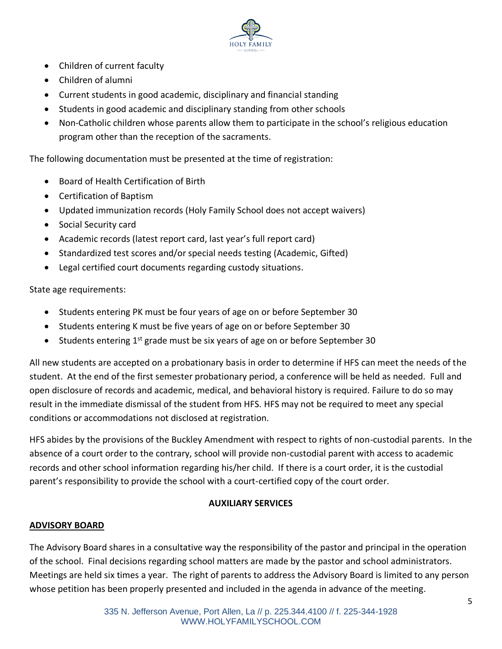

- Children of current faculty
- Children of alumni
- Current students in good academic, disciplinary and financial standing
- Students in good academic and disciplinary standing from other schools
- Non-Catholic children whose parents allow them to participate in the school's religious education program other than the reception of the sacraments.

The following documentation must be presented at the time of registration:

- Board of Health Certification of Birth
- Certification of Baptism
- Updated immunization records (Holy Family School does not accept waivers)
- Social Security card
- Academic records (latest report card, last year's full report card)
- Standardized test scores and/or special needs testing (Academic, Gifted)
- Legal certified court documents regarding custody situations.

State age requirements:

- Students entering PK must be four years of age on or before September 30
- Students entering K must be five years of age on or before September 30
- Students entering  $1^{st}$  grade must be six years of age on or before September 30

All new students are accepted on a probationary basis in order to determine if HFS can meet the needs of the student. At the end of the first semester probationary period, a conference will be held as needed. Full and open disclosure of records and academic, medical, and behavioral history is required. Failure to do so may result in the immediate dismissal of the student from HFS. HFS may not be required to meet any special conditions or accommodations not disclosed at registration.

HFS abides by the provisions of the Buckley Amendment with respect to rights of non-custodial parents. In the absence of a court order to the contrary, school will provide non-custodial parent with access to academic records and other school information regarding his/her child. If there is a court order, it is the custodial parent's responsibility to provide the school with a court-certified copy of the court order.

## **AUXILIARY SERVICES**

## **ADVISORY BOARD**

The Advisory Board shares in a consultative way the responsibility of the pastor and principal in the operation of the school. Final decisions regarding school matters are made by the pastor and school administrators. Meetings are held six times a year. The right of parents to address the Advisory Board is limited to any person whose petition has been properly presented and included in the agenda in advance of the meeting.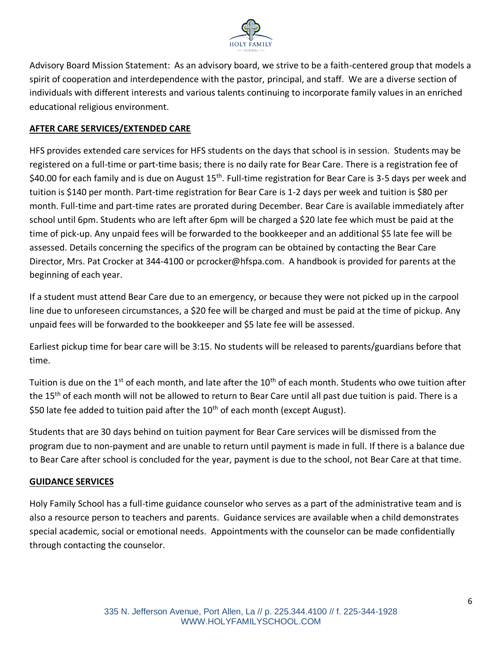

Advisory Board Mission Statement: As an advisory board, we strive to be a faith-centered group that models a spirit of cooperation and interdependence with the pastor, principal, and staff. We are a diverse section of individuals with different interests and various talents continuing to incorporate family values in an enriched educational religious environment.

## **AFTER CARE SERVICES/EXTENDED CARE**

HFS provides extended care services for HFS students on the days that school is in session. Students may be registered on a full-time or part-time basis; there is no daily rate for Bear Care. There is a registration fee of \$40.00 for each family and is due on August 15<sup>th</sup>. Full-time registration for Bear Care is 3-5 days per week and tuition is \$140 per month. Part-time registration for Bear Care is 1-2 days per week and tuition is \$80 per month. Full-time and part-time rates are prorated during December. Bear Care is available immediately after school until 6pm. Students who are left after 6pm will be charged a \$20 late fee which must be paid at the time of pick-up. Any unpaid fees will be forwarded to the bookkeeper and an additional \$5 late fee will be assessed. Details concerning the specifics of the program can be obtained by contacting the Bear Care Director, Mrs. Pat Crocker at 344-4100 or pcrocker@hfspa.com. A handbook is provided for parents at the beginning of each year.

If a student must attend Bear Care due to an emergency, or because they were not picked up in the carpool line due to unforeseen circumstances, a \$20 fee will be charged and must be paid at the time of pickup. Any unpaid fees will be forwarded to the bookkeeper and \$5 late fee will be assessed.

Earliest pickup time for bear care will be 3:15. No students will be released to parents/guardians before that time.

Tuition is due on the 1<sup>st</sup> of each month, and late after the 10<sup>th</sup> of each month. Students who owe tuition after the 15<sup>th</sup> of each month will not be allowed to return to Bear Care until all past due tuition is paid. There is a \$50 late fee added to tuition paid after the 10<sup>th</sup> of each month (except August).

Students that are 30 days behind on tuition payment for Bear Care services will be dismissed from the program due to non-payment and are unable to return until payment is made in full. If there is a balance due to Bear Care after school is concluded for the year, payment is due to the school, not Bear Care at that time.

## **GUIDANCE SERVICES**

Holy Family School has a full-time guidance counselor who serves as a part of the administrative team and is also a resource person to teachers and parents. Guidance services are available when a child demonstrates special academic, social or emotional needs. Appointments with the counselor can be made confidentially through contacting the counselor.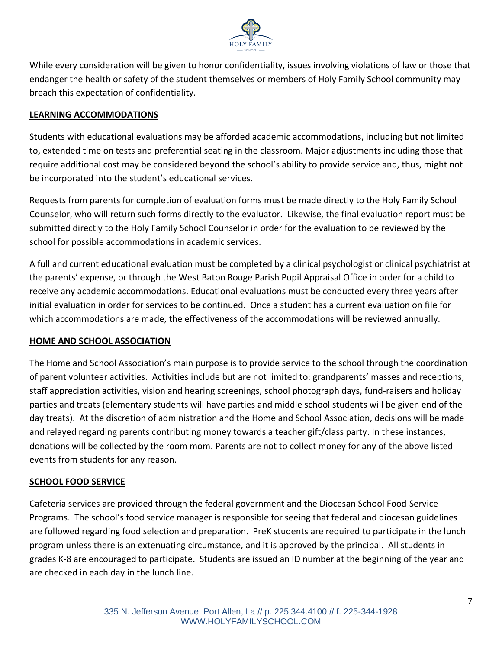

While every consideration will be given to honor confidentiality, issues involving violations of law or those that endanger the health or safety of the student themselves or members of Holy Family School community may breach this expectation of confidentiality.

## **LEARNING ACCOMMODATIONS**

Students with educational evaluations may be afforded academic accommodations, including but not limited to, extended time on tests and preferential seating in the classroom. Major adjustments including those that require additional cost may be considered beyond the school's ability to provide service and, thus, might not be incorporated into the student's educational services.

Requests from parents for completion of evaluation forms must be made directly to the Holy Family School Counselor, who will return such forms directly to the evaluator. Likewise, the final evaluation report must be submitted directly to the Holy Family School Counselor in order for the evaluation to be reviewed by the school for possible accommodations in academic services.

A full and current educational evaluation must be completed by a clinical psychologist or clinical psychiatrist at the parents' expense, or through the West Baton Rouge Parish Pupil Appraisal Office in order for a child to receive any academic accommodations. Educational evaluations must be conducted every three years after initial evaluation in order for services to be continued. Once a student has a current evaluation on file for which accommodations are made, the effectiveness of the accommodations will be reviewed annually.

## **HOME AND SCHOOL ASSOCIATION**

The Home and School Association's main purpose is to provide service to the school through the coordination of parent volunteer activities. Activities include but are not limited to: grandparents' masses and receptions, staff appreciation activities, vision and hearing screenings, school photograph days, fund-raisers and holiday parties and treats (elementary students will have parties and middle school students will be given end of the day treats). At the discretion of administration and the Home and School Association, decisions will be made and relayed regarding parents contributing money towards a teacher gift/class party. In these instances, donations will be collected by the room mom. Parents are not to collect money for any of the above listed events from students for any reason.

## **SCHOOL FOOD SERVICE**

Cafeteria services are provided through the federal government and the Diocesan School Food Service Programs. The school's food service manager is responsible for seeing that federal and diocesan guidelines are followed regarding food selection and preparation. PreK students are required to participate in the lunch program unless there is an extenuating circumstance, and it is approved by the principal. All students in grades K-8 are encouraged to participate. Students are issued an ID number at the beginning of the year and are checked in each day in the lunch line.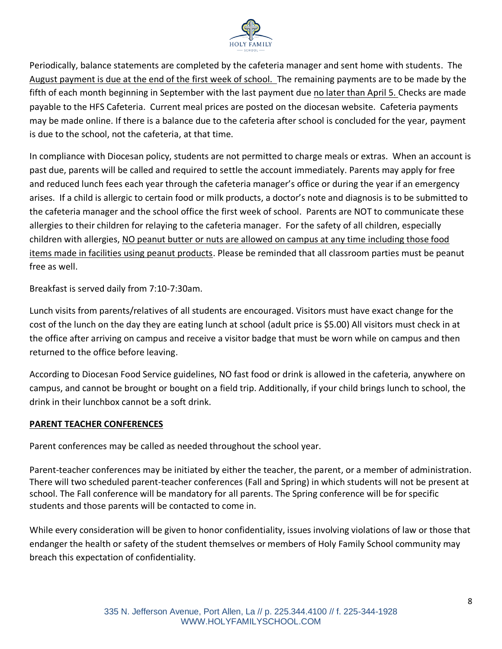

Periodically, balance statements are completed by the cafeteria manager and sent home with students. The August payment is due at the end of the first week of school. The remaining payments are to be made by the fifth of each month beginning in September with the last payment due no later than April 5. Checks are made payable to the HFS Cafeteria. Current meal prices are posted on the diocesan website. Cafeteria payments may be made online. If there is a balance due to the cafeteria after school is concluded for the year, payment is due to the school, not the cafeteria, at that time.

In compliance with Diocesan policy, students are not permitted to charge meals or extras. When an account is past due, parents will be called and required to settle the account immediately. Parents may apply for free and reduced lunch fees each year through the cafeteria manager's office or during the year if an emergency arises. If a child is allergic to certain food or milk products, a doctor's note and diagnosis is to be submitted to the cafeteria manager and the school office the first week of school. Parents are NOT to communicate these allergies to their children for relaying to the cafeteria manager. For the safety of all children, especially children with allergies, NO peanut butter or nuts are allowed on campus at any time including those food items made in facilities using peanut products. Please be reminded that all classroom parties must be peanut free as well.

Breakfast is served daily from 7:10-7:30am.

Lunch visits from parents/relatives of all students are encouraged. Visitors must have exact change for the cost of the lunch on the day they are eating lunch at school (adult price is \$5.00) All visitors must check in at the office after arriving on campus and receive a visitor badge that must be worn while on campus and then returned to the office before leaving.

According to Diocesan Food Service guidelines, NO fast food or drink is allowed in the cafeteria, anywhere on campus, and cannot be brought or bought on a field trip. Additionally, if your child brings lunch to school, the drink in their lunchbox cannot be a soft drink.

#### **PARENT TEACHER CONFERENCES**

Parent conferences may be called as needed throughout the school year.

Parent-teacher conferences may be initiated by either the teacher, the parent, or a member of administration. There will two scheduled parent-teacher conferences (Fall and Spring) in which students will not be present at school. The Fall conference will be mandatory for all parents. The Spring conference will be for specific students and those parents will be contacted to come in.

While every consideration will be given to honor confidentiality, issues involving violations of law or those that endanger the health or safety of the student themselves or members of Holy Family School community may breach this expectation of confidentiality.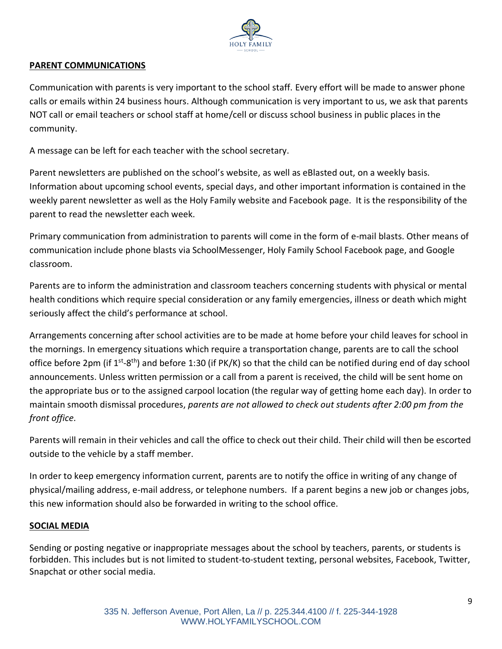

#### **PARENT COMMUNICATIONS**

Communication with parents is very important to the school staff. Every effort will be made to answer phone calls or emails within 24 business hours. Although communication is very important to us, we ask that parents NOT call or email teachers or school staff at home/cell or discuss school business in public places in the community.

A message can be left for each teacher with the school secretary.

Parent newsletters are published on the school's website, as well as eBlasted out, on a weekly basis. Information about upcoming school events, special days, and other important information is contained in the weekly parent newsletter as well as the Holy Family website and Facebook page. It is the responsibility of the parent to read the newsletter each week.

Primary communication from administration to parents will come in the form of e-mail blasts. Other means of communication include phone blasts via SchoolMessenger, Holy Family School Facebook page, and Google classroom.

Parents are to inform the administration and classroom teachers concerning students with physical or mental health conditions which require special consideration or any family emergencies, illness or death which might seriously affect the child's performance at school.

Arrangements concerning after school activities are to be made at home before your child leaves for school in the mornings. In emergency situations which require a transportation change, parents are to call the school office before 2pm (if 1<sup>st</sup>-8<sup>th</sup>) and before 1:30 (if PK/K) so that the child can be notified during end of day school announcements. Unless written permission or a call from a parent is received, the child will be sent home on the appropriate bus or to the assigned carpool location (the regular way of getting home each day). In order to maintain smooth dismissal procedures, *parents are not allowed to check out students after 2:00 pm from the front office.* 

Parents will remain in their vehicles and call the office to check out their child. Their child will then be escorted outside to the vehicle by a staff member.

In order to keep emergency information current, parents are to notify the office in writing of any change of physical/mailing address, e-mail address, or telephone numbers. If a parent begins a new job or changes jobs, this new information should also be forwarded in writing to the school office.

#### **SOCIAL MEDIA**

Sending or posting negative or inappropriate messages about the school by teachers, parents, or students is forbidden. This includes but is not limited to student-to-student texting, personal websites, Facebook, Twitter, Snapchat or other social media.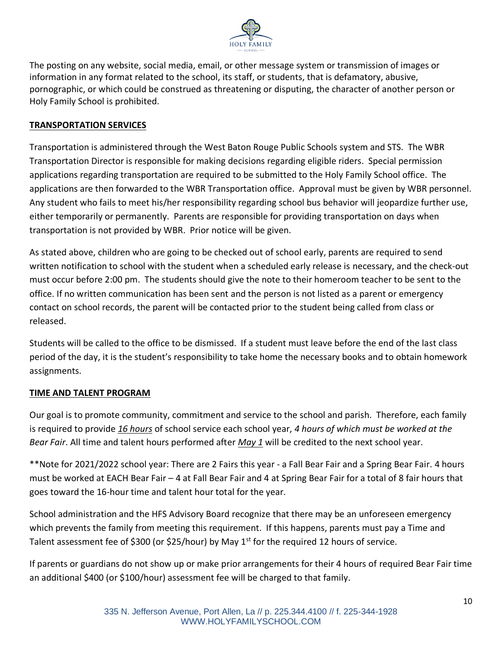

The posting on any website, social media, email, or other message system or transmission of images or information in any format related to the school, its staff, or students, that is defamatory, abusive, pornographic, or which could be construed as threatening or disputing, the character of another person or Holy Family School is prohibited.

#### **TRANSPORTATION SERVICES**

Transportation is administered through the West Baton Rouge Public Schools system and STS. The WBR Transportation Director is responsible for making decisions regarding eligible riders. Special permission applications regarding transportation are required to be submitted to the Holy Family School office. The applications are then forwarded to the WBR Transportation office. Approval must be given by WBR personnel. Any student who fails to meet his/her responsibility regarding school bus behavior will jeopardize further use, either temporarily or permanently. Parents are responsible for providing transportation on days when transportation is not provided by WBR. Prior notice will be given.

As stated above, children who are going to be checked out of school early, parents are required to send written notification to school with the student when a scheduled early release is necessary, and the check-out must occur before 2:00 pm. The students should give the note to their homeroom teacher to be sent to the office. If no written communication has been sent and the person is not listed as a parent or emergency contact on school records, the parent will be contacted prior to the student being called from class or released.

Students will be called to the office to be dismissed. If a student must leave before the end of the last class period of the day, it is the student's responsibility to take home the necessary books and to obtain homework assignments.

#### **TIME AND TALENT PROGRAM**

Our goal is to promote community, commitment and service to the school and parish. Therefore, each family is required to provide *16 hours* of school service each school year, *4 hours of which must be worked at the Bear Fair*. All time and talent hours performed after *May 1* will be credited to the next school year.

\*\*Note for 2021/2022 school year: There are 2 Fairs this year - a Fall Bear Fair and a Spring Bear Fair. 4 hours must be worked at EACH Bear Fair – 4 at Fall Bear Fair and 4 at Spring Bear Fair for a total of 8 fair hours that goes toward the 16-hour time and talent hour total for the year.

School administration and the HFS Advisory Board recognize that there may be an unforeseen emergency which prevents the family from meeting this requirement. If this happens, parents must pay a Time and Talent assessment fee of \$300 (or \$25/hour) by May  $1<sup>st</sup>$  for the required 12 hours of service.

If parents or guardians do not show up or make prior arrangements for their 4 hours of required Bear Fair time an additional \$400 (or \$100/hour) assessment fee will be charged to that family.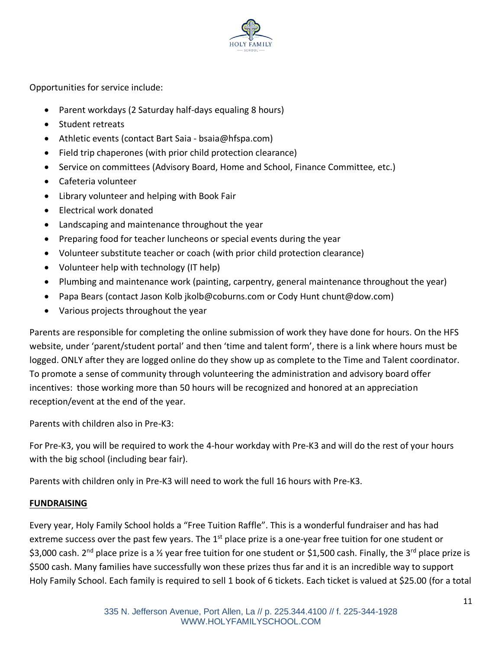

Opportunities for service include:

- Parent workdays (2 Saturday half-days equaling 8 hours)
- Student retreats
- Athletic events (contact Bart Saia bsaia@hfspa.com)
- Field trip chaperones (with prior child protection clearance)
- Service on committees (Advisory Board, Home and School, Finance Committee, etc.)
- Cafeteria volunteer
- Library volunteer and helping with Book Fair
- Electrical work donated
- Landscaping and maintenance throughout the year
- Preparing food for teacher luncheons or special events during the year
- Volunteer substitute teacher or coach (with prior child protection clearance)
- Volunteer help with technology (IT help)
- Plumbing and maintenance work (painting, carpentry, general maintenance throughout the year)
- Papa Bears (contact Jason Kolb [jkolb@coburns.com](mailto:jkolb@coburns.com) or Cody Hunt chunt@dow.com)
- Various projects throughout the year

Parents are responsible for completing the online submission of work they have done for hours. On the HFS website, under 'parent/student portal' and then 'time and talent form', there is a link where hours must be logged. ONLY after they are logged online do they show up as complete to the Time and Talent coordinator. To promote a sense of community through volunteering the administration and advisory board offer incentives: those working more than 50 hours will be recognized and honored at an appreciation reception/event at the end of the year.

Parents with children also in Pre-K3:

For Pre-K3, you will be required to work the 4-hour workday with Pre-K3 and will do the rest of your hours with the big school (including bear fair).

Parents with children only in Pre-K3 will need to work the full 16 hours with Pre-K3.

#### **FUNDRAISING**

Every year, Holy Family School holds a "Free Tuition Raffle". This is a wonderful fundraiser and has had extreme success over the past few years. The 1<sup>st</sup> place prize is a one-year free tuition for one student or \$3,000 cash. 2<sup>nd</sup> place prize is a ½ year free tuition for one student or \$1,500 cash. Finally, the 3<sup>rd</sup> place prize is \$500 cash. Many families have successfully won these prizes thus far and it is an incredible way to support Holy Family School. Each family is required to sell 1 book of 6 tickets. Each ticket is valued at \$25.00 (for a total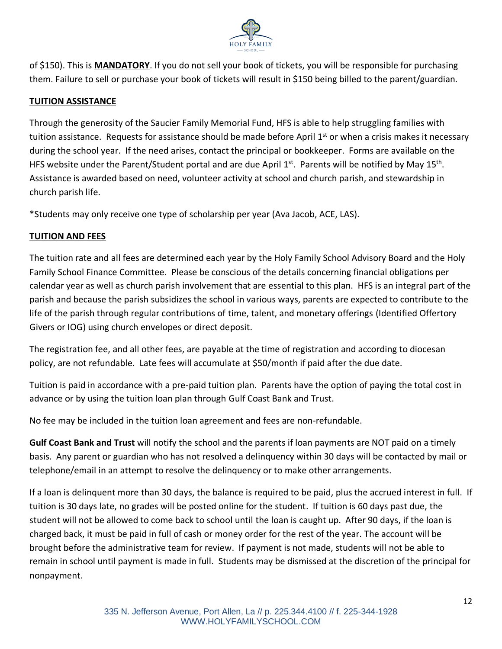

of \$150). This is **MANDATORY**. If you do not sell your book of tickets, you will be responsible for purchasing them. Failure to sell or purchase your book of tickets will result in \$150 being billed to the parent/guardian.

# **TUITION ASSISTANCE**

Through the generosity of the Saucier Family Memorial Fund, HFS is able to help struggling families with tuition assistance. Requests for assistance should be made before April 1<sup>st</sup> or when a crisis makes it necessary during the school year. If the need arises, contact the principal or bookkeeper. Forms are available on the HFS website under the Parent/Student portal and are due April 1st. Parents will be notified by May 15<sup>th</sup>. Assistance is awarded based on need, volunteer activity at school and church parish, and stewardship in church parish life.

\*Students may only receive one type of scholarship per year (Ava Jacob, ACE, LAS).

## **TUITION AND FEES**

The tuition rate and all fees are determined each year by the Holy Family School Advisory Board and the Holy Family School Finance Committee. Please be conscious of the details concerning financial obligations per calendar year as well as church parish involvement that are essential to this plan. HFS is an integral part of the parish and because the parish subsidizes the school in various ways, parents are expected to contribute to the life of the parish through regular contributions of time, talent, and monetary offerings (Identified Offertory Givers or IOG) using church envelopes or direct deposit.

The registration fee, and all other fees, are payable at the time of registration and according to diocesan policy, are not refundable. Late fees will accumulate at \$50/month if paid after the due date.

Tuition is paid in accordance with a pre-paid tuition plan. Parents have the option of paying the total cost in advance or by using the tuition loan plan through Gulf Coast Bank and Trust.

No fee may be included in the tuition loan agreement and fees are non-refundable.

**Gulf Coast Bank and Trust** will notify the school and the parents if loan payments are NOT paid on a timely basis. Any parent or guardian who has not resolved a delinquency within 30 days will be contacted by mail or telephone/email in an attempt to resolve the delinquency or to make other arrangements.

If a loan is delinquent more than 30 days, the balance is required to be paid, plus the accrued interest in full. If tuition is 30 days late, no grades will be posted online for the student. If tuition is 60 days past due, the student will not be allowed to come back to school until the loan is caught up. After 90 days, if the loan is charged back, it must be paid in full of cash or money order for the rest of the year. The account will be brought before the administrative team for review. If payment is not made, students will not be able to remain in school until payment is made in full. Students may be dismissed at the discretion of the principal for nonpayment.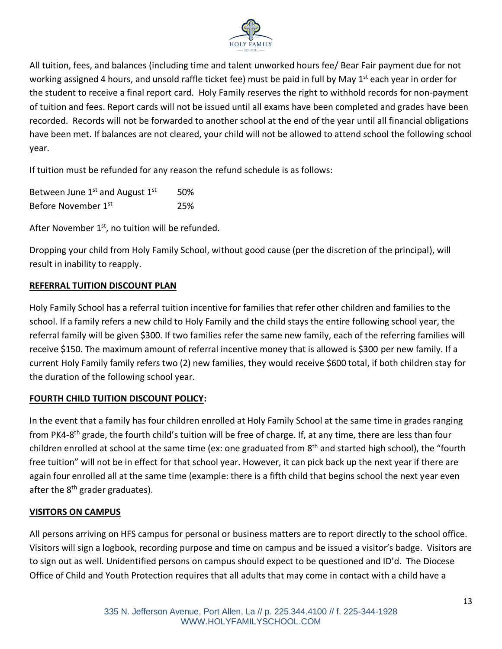

All tuition, fees, and balances (including time and talent unworked hours fee/ Bear Fair payment due for not working assigned 4 hours, and unsold raffle ticket fee) must be paid in full by May 1<sup>st</sup> each year in order for the student to receive a final report card. Holy Family reserves the right to withhold records for non-payment of tuition and fees. Report cards will not be issued until all exams have been completed and grades have been recorded. Records will not be forwarded to another school at the end of the year until all financial obligations have been met. If balances are not cleared, your child will not be allowed to attend school the following school year.

If tuition must be refunded for any reason the refund schedule is as follows:

| Between June $1^{st}$ and August $1^{st}$ | 50% |
|-------------------------------------------|-----|
| Before November 1st                       | 25% |

After November 1<sup>st</sup>, no tuition will be refunded.

Dropping your child from Holy Family School, without good cause (per the discretion of the principal), will result in inability to reapply.

## **REFERRAL TUITION DISCOUNT PLAN**

Holy Family School has a referral tuition incentive for families that refer other children and families to the school. If a family refers a new child to Holy Family and the child stays the entire following school year, the referral family will be given \$300. If two families refer the same new family, each of the referring families will receive \$150. The maximum amount of referral incentive money that is allowed is \$300 per new family. If a current Holy Family family refers two (2) new families, they would receive \$600 total, if both children stay for the duration of the following school year.

# **FOURTH CHILD TUITION DISCOUNT POLICY:**

In the event that a family has four children enrolled at Holy Family School at the same time in grades ranging from PK4-8<sup>th</sup> grade, the fourth child's tuition will be free of charge. If, at any time, there are less than four children enrolled at school at the same time (ex: one graduated from 8<sup>th</sup> and started high school), the "fourth free tuition" will not be in effect for that school year. However, it can pick back up the next year if there are again four enrolled all at the same time (example: there is a fifth child that begins school the next year even after the  $8<sup>th</sup>$  grader graduates).

## **VISITORS ON CAMPUS**

All persons arriving on HFS campus for personal or business matters are to report directly to the school office. Visitors will sign a logbook, recording purpose and time on campus and be issued a visitor's badge. Visitors are to sign out as well. Unidentified persons on campus should expect to be questioned and ID'd. The Diocese Office of Child and Youth Protection requires that all adults that may come in contact with a child have a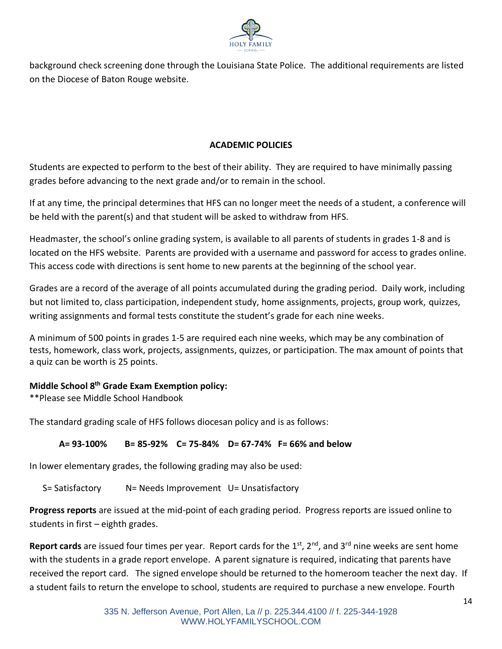

background check screening done through the Louisiana State Police. The additional requirements are listed on the Diocese of Baton Rouge website.

# **ACADEMIC POLICIES**

Students are expected to perform to the best of their ability. They are required to have minimally passing grades before advancing to the next grade and/or to remain in the school.

If at any time, the principal determines that HFS can no longer meet the needs of a student, a conference will be held with the parent(s) and that student will be asked to withdraw from HFS.

Headmaster, the school's online grading system, is available to all parents of students in grades 1-8 and is located on the HFS website. Parents are provided with a username and password for access to grades online. This access code with directions is sent home to new parents at the beginning of the school year.

Grades are a record of the average of all points accumulated during the grading period. Daily work, including but not limited to, class participation, independent study, home assignments, projects, group work, quizzes, writing assignments and formal tests constitute the student's grade for each nine weeks.

A minimum of 500 points in grades 1-5 are required each nine weeks, which may be any combination of tests, homework, class work, projects, assignments, quizzes, or participation. The max amount of points that a quiz can be worth is 25 points.

## **Middle School 8 th Grade Exam Exemption policy:**

\*\*Please see Middle School Handbook

The standard grading scale of HFS follows diocesan policy and is as follows:

# **A= 93-100% B= 85-92% C= 75-84% D= 67-74% F= 66% and below**

In lower elementary grades, the following grading may also be used:

S= Satisfactory N= Needs Improvement U= Unsatisfactory

**Progress reports** are issued at the mid-point of each grading period. Progress reports are issued online to students in first – eighth grades.

**Report cards** are issued four times per year. Report cards for the 1<sup>st</sup>, 2<sup>nd</sup>, and 3<sup>rd</sup> nine weeks are sent home with the students in a grade report envelope. A parent signature is required, indicating that parents have received the report card. The signed envelope should be returned to the homeroom teacher the next day. If a student fails to return the envelope to school, students are required to purchase a new envelope. Fourth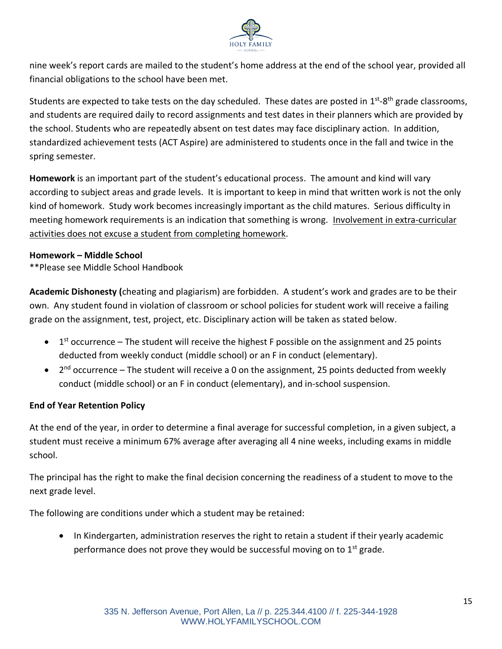

nine week's report cards are mailed to the student's home address at the end of the school year, provided all financial obligations to the school have been met.

Students are expected to take tests on the day scheduled. These dates are posted in 1<sup>st</sup>-8<sup>th</sup> grade classrooms, and students are required daily to record assignments and test dates in their planners which are provided by the school. Students who are repeatedly absent on test dates may face disciplinary action. In addition, standardized achievement tests (ACT Aspire) are administered to students once in the fall and twice in the spring semester.

**Homework** is an important part of the student's educational process. The amount and kind will vary according to subject areas and grade levels. It is important to keep in mind that written work is not the only kind of homework. Study work becomes increasingly important as the child matures. Serious difficulty in meeting homework requirements is an indication that something is wrong. Involvement in extra-curricular activities does not excuse a student from completing homework.

## **Homework – Middle School**

\*\*Please see Middle School Handbook

**Academic Dishonesty (**cheating and plagiarism) are forbidden. A student's work and grades are to be their own.Any student found in violation of classroom or school policies for student work will receive a failing grade on the assignment, test, project, etc. Disciplinary action will be taken as stated below.

- $\bullet$  1<sup>st</sup> occurrence The student will receive the highest F possible on the assignment and 25 points deducted from weekly conduct (middle school) or an F in conduct (elementary).
- 2<sup>nd</sup> occurrence The student will receive a 0 on the assignment, 25 points deducted from weekly conduct (middle school) or an F in conduct (elementary), and in-school suspension.

## **End of Year Retention Policy**

At the end of the year, in order to determine a final average for successful completion, in a given subject, a student must receive a minimum 67% average after averaging all 4 nine weeks, including exams in middle school.

The principal has the right to make the final decision concerning the readiness of a student to move to the next grade level.

The following are conditions under which a student may be retained:

• In Kindergarten, administration reserves the right to retain a student if their yearly academic performance does not prove they would be successful moving on to  $1<sup>st</sup>$  grade.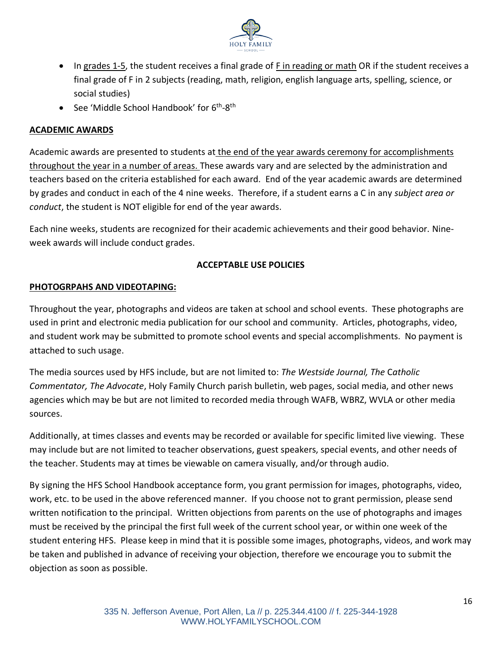

- In grades 1-5, the student receives a final grade of F in reading or math OR if the student receives a final grade of F in 2 subjects (reading, math, religion, english language arts, spelling, science, or social studies)
- See 'Middle School Handbook' for 6<sup>th</sup>-8<sup>th</sup>

## **ACADEMIC AWARDS**

Academic awards are presented to students at the end of the year awards ceremony for accomplishments throughout the year in a number of areas. These awards vary and are selected by the administration and teachers based on the criteria established for each award. End of the year academic awards are determined by grades and conduct in each of the 4 nine weeks. Therefore, if a student earns a C in any *subject area or conduct*, the student is NOT eligible for end of the year awards.

Each nine weeks, students are recognized for their academic achievements and their good behavior. Nineweek awards will include conduct grades.

## **ACCEPTABLE USE POLICIES**

## **PHOTOGRPAHS AND VIDEOTAPING:**

Throughout the year, photographs and videos are taken at school and school events. These photographs are used in print and electronic media publication for our school and community. Articles, photographs, video, and student work may be submitted to promote school events and special accomplishments. No payment is attached to such usage.

The media sources used by HFS include, but are not limited to: *The Westside Journal, The* C*atholic Commentator, The Advocate*, Holy Family Church parish bulletin, web pages, social media, and other news agencies which may be but are not limited to recorded media through WAFB, WBRZ, WVLA or other media sources.

Additionally, at times classes and events may be recorded or available for specific limited live viewing. These may include but are not limited to teacher observations, guest speakers, special events, and other needs of the teacher. Students may at times be viewable on camera visually, and/or through audio.

By signing the HFS School Handbook acceptance form, you grant permission for images, photographs, video, work, etc. to be used in the above referenced manner. If you choose not to grant permission, please send written notification to the principal. Written objections from parents on the use of photographs and images must be received by the principal the first full week of the current school year, or within one week of the student entering HFS. Please keep in mind that it is possible some images, photographs, videos, and work may be taken and published in advance of receiving your objection, therefore we encourage you to submit the objection as soon as possible.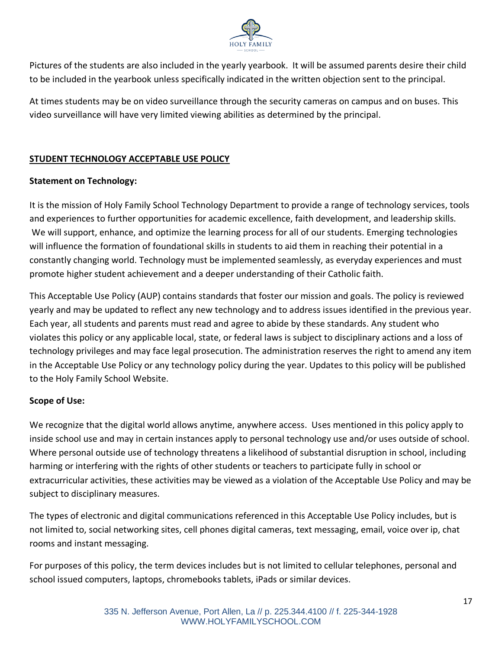

Pictures of the students are also included in the yearly yearbook. It will be assumed parents desire their child to be included in the yearbook unless specifically indicated in the written objection sent to the principal.

At times students may be on video surveillance through the security cameras on campus and on buses. This video surveillance will have very limited viewing abilities as determined by the principal.

# **STUDENT TECHNOLOGY ACCEPTABLE USE POLICY**

## **Statement on Technology:**

It is the mission of Holy Family School Technology Department to provide a range of technology services, tools and experiences to further opportunities for academic excellence, faith development, and leadership skills. We will support, enhance, and optimize the learning process for all of our students. Emerging technologies will influence the formation of foundational skills in students to aid them in reaching their potential in a constantly changing world. Technology must be implemented seamlessly, as everyday experiences and must promote higher student achievement and a deeper understanding of their Catholic faith.

This Acceptable Use Policy (AUP) contains standards that foster our mission and goals. The policy is reviewed yearly and may be updated to reflect any new technology and to address issues identified in the previous year. Each year, all students and parents must read and agree to abide by these standards. Any student who violates this policy or any applicable local, state, or federal laws is subject to disciplinary actions and a loss of technology privileges and may face legal prosecution. The administration reserves the right to amend any item in the Acceptable Use Policy or any technology policy during the year. Updates to this policy will be published to the Holy Family School Website.

#### **Scope of Use:**

We recognize that the digital world allows anytime, anywhere access. Uses mentioned in this policy apply to inside school use and may in certain instances apply to personal technology use and/or uses outside of school. Where personal outside use of technology threatens a likelihood of substantial disruption in school, including harming or interfering with the rights of other students or teachers to participate fully in school or extracurricular activities, these activities may be viewed as a violation of the Acceptable Use Policy and may be subject to disciplinary measures.

The types of electronic and digital communications referenced in this Acceptable Use Policy includes, but is not limited to, social networking sites, cell phones digital cameras, text messaging, email, voice over ip, chat rooms and instant messaging.

For purposes of this policy, the term devices includes but is not limited to cellular telephones, personal and school issued computers, laptops, chromebooks tablets, iPads or similar devices.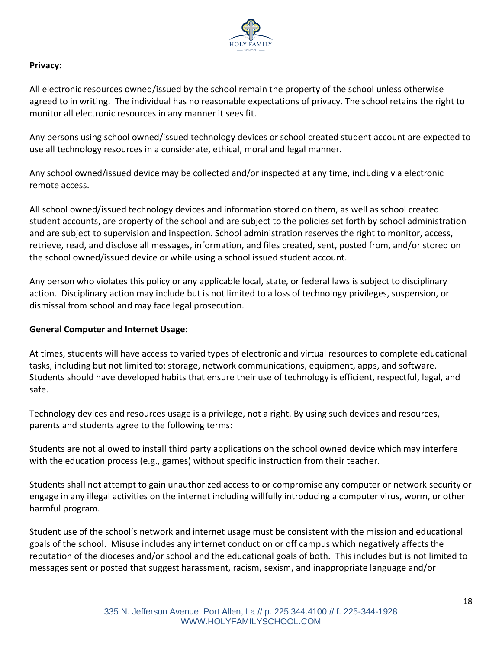

## **Privacy:**

All electronic resources owned/issued by the school remain the property of the school unless otherwise agreed to in writing. The individual has no reasonable expectations of privacy. The school retains the right to monitor all electronic resources in any manner it sees fit.

Any persons using school owned/issued technology devices or school created student account are expected to use all technology resources in a considerate, ethical, moral and legal manner.

Any school owned/issued device may be collected and/or inspected at any time, including via electronic remote access.

All school owned/issued technology devices and information stored on them, as well as school created student accounts, are property of the school and are subject to the policies set forth by school administration and are subject to supervision and inspection. School administration reserves the right to monitor, access, retrieve, read, and disclose all messages, information, and files created, sent, posted from, and/or stored on the school owned/issued device or while using a school issued student account.

Any person who violates this policy or any applicable local, state, or federal laws is subject to disciplinary action. Disciplinary action may include but is not limited to a loss of technology privileges, suspension, or dismissal from school and may face legal prosecution.

#### **General Computer and Internet Usage:**

At times, students will have access to varied types of electronic and virtual resources to complete educational tasks, including but not limited to: storage, network communications, equipment, apps, and software. Students should have developed habits that ensure their use of technology is efficient, respectful, legal, and safe.

Technology devices and resources usage is a privilege, not a right. By using such devices and resources, parents and students agree to the following terms:

Students are not allowed to install third party applications on the school owned device which may interfere with the education process (e.g., games) without specific instruction from their teacher.

Students shall not attempt to gain unauthorized access to or compromise any computer or network security or engage in any illegal activities on the internet including willfully introducing a computer virus, worm, or other harmful program.

Student use of the school's network and internet usage must be consistent with the mission and educational goals of the school. Misuse includes any internet conduct on or off campus which negatively affects the reputation of the dioceses and/or school and the educational goals of both. This includes but is not limited to messages sent or posted that suggest harassment, racism, sexism, and inappropriate language and/or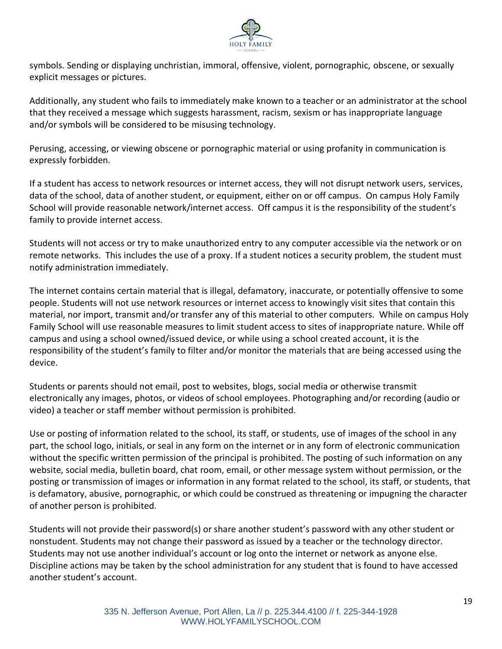

symbols. Sending or displaying unchristian, immoral, offensive, violent, pornographic, obscene, or sexually explicit messages or pictures.

Additionally, any student who fails to immediately make known to a teacher or an administrator at the school that they received a message which suggests harassment, racism, sexism or has inappropriate language and/or symbols will be considered to be misusing technology.

Perusing, accessing, or viewing obscene or pornographic material or using profanity in communication is expressly forbidden.

If a student has access to network resources or internet access, they will not disrupt network users, services, data of the school, data of another student, or equipment, either on or off campus. On campus Holy Family School will provide reasonable network/internet access. Off campus it is the responsibility of the student's family to provide internet access.

Students will not access or try to make unauthorized entry to any computer accessible via the network or on remote networks. This includes the use of a proxy. If a student notices a security problem, the student must notify administration immediately.

The internet contains certain material that is illegal, defamatory, inaccurate, or potentially offensive to some people. Students will not use network resources or internet access to knowingly visit sites that contain this material, nor import, transmit and/or transfer any of this material to other computers. While on campus Holy Family School will use reasonable measures to limit student access to sites of inappropriate nature. While off campus and using a school owned/issued device, or while using a school created account, it is the responsibility of the student's family to filter and/or monitor the materials that are being accessed using the device.

Students or parents should not email, post to websites, blogs, social media or otherwise transmit electronically any images, photos, or videos of school employees. Photographing and/or recording (audio or video) a teacher or staff member without permission is prohibited.

Use or posting of information related to the school, its staff, or students, use of images of the school in any part, the school logo, initials, or seal in any form on the internet or in any form of electronic communication without the specific written permission of the principal is prohibited. The posting of such information on any website, social media, bulletin board, chat room, email, or other message system without permission, or the posting or transmission of images or information in any format related to the school, its staff, or students, that is defamatory, abusive, pornographic, or which could be construed as threatening or impugning the character of another person is prohibited.

Students will not provide their password(s) or share another student's password with any other student or nonstudent. Students may not change their password as issued by a teacher or the technology director. Students may not use another individual's account or log onto the internet or network as anyone else. Discipline actions may be taken by the school administration for any student that is found to have accessed another student's account.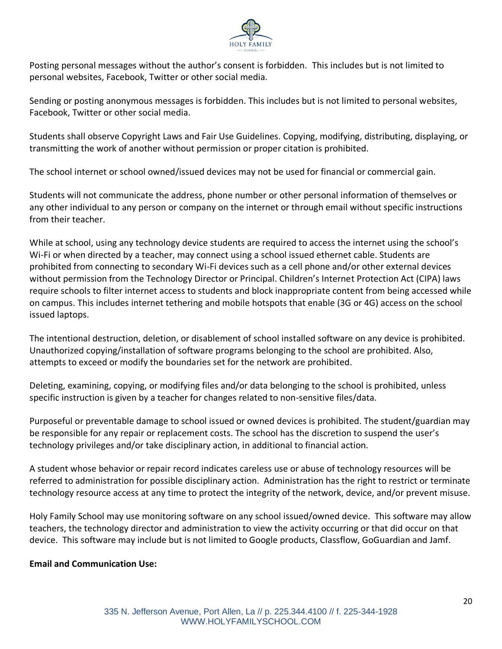

Posting personal messages without the author's consent is forbidden. This includes but is not limited to personal websites, Facebook, Twitter or other social media.

Sending or posting anonymous messages is forbidden. This includes but is not limited to personal websites, Facebook, Twitter or other social media.

Students shall observe Copyright Laws and Fair Use Guidelines. Copying, modifying, distributing, displaying, or transmitting the work of another without permission or proper citation is prohibited.

The school internet or school owned/issued devices may not be used for financial or commercial gain.

Students will not communicate the address, phone number or other personal information of themselves or any other individual to any person or company on the internet or through email without specific instructions from their teacher.

While at school, using any technology device students are required to access the internet using the school's Wi-Fi or when directed by a teacher, may connect using a school issued ethernet cable. Students are prohibited from connecting to secondary Wi-Fi devices such as a cell phone and/or other external devices without permission from the Technology Director or Principal. Children's Internet Protection Act (CIPA) laws require schools to filter internet access to students and block inappropriate content from being accessed while on campus. This includes internet tethering and mobile hotspots that enable (3G or 4G) access on the school issued laptops.

The intentional destruction, deletion, or disablement of school installed software on any device is prohibited. Unauthorized copying/installation of software programs belonging to the school are prohibited. Also, attempts to exceed or modify the boundaries set for the network are prohibited.

Deleting, examining, copying, or modifying files and/or data belonging to the school is prohibited, unless specific instruction is given by a teacher for changes related to non-sensitive files/data.

Purposeful or preventable damage to school issued or owned devices is prohibited. The student/guardian may be responsible for any repair or replacement costs. The school has the discretion to suspend the user's technology privileges and/or take disciplinary action, in additional to financial action.

A student whose behavior or repair record indicates careless use or abuse of technology resources will be referred to administration for possible disciplinary action. Administration has the right to restrict or terminate technology resource access at any time to protect the integrity of the network, device, and/or prevent misuse.

Holy Family School may use monitoring software on any school issued/owned device. This software may allow teachers, the technology director and administration to view the activity occurring or that did occur on that device. This software may include but is not limited to Google products, Classflow, GoGuardian and Jamf.

## **Email and Communication Use:**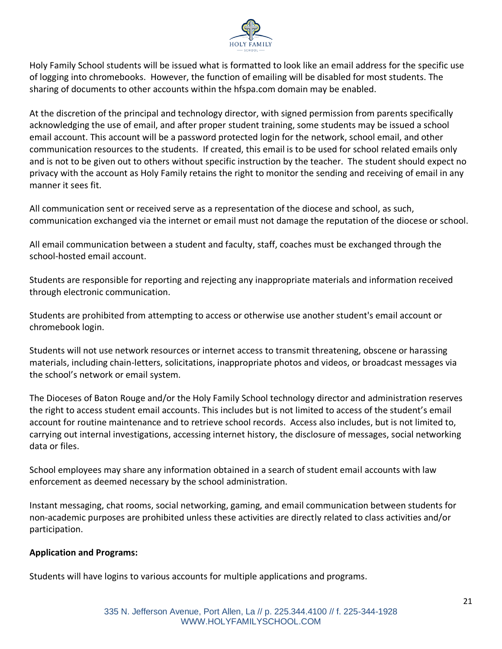

Holy Family School students will be issued what is formatted to look like an email address for the specific use of logging into chromebooks. However, the function of emailing will be disabled for most students. The sharing of documents to other accounts within the hfspa.com domain may be enabled.

At the discretion of the principal and technology director, with signed permission from parents specifically acknowledging the use of email, and after proper student training, some students may be issued a school email account. This account will be a password protected login for the network, school email, and other communication resources to the students. If created, this email is to be used for school related emails only and is not to be given out to others without specific instruction by the teacher. The student should expect no privacy with the account as Holy Family retains the right to monitor the sending and receiving of email in any manner it sees fit.

All communication sent or received serve as a representation of the diocese and school, as such, communication exchanged via the internet or email must not damage the reputation of the diocese or school.

All email communication between a student and faculty, staff, coaches must be exchanged through the school-hosted email account.

Students are responsible for reporting and rejecting any inappropriate materials and information received through electronic communication.

Students are prohibited from attempting to access or otherwise use another student's email account or chromebook login.

Students will not use network resources or internet access to transmit threatening, obscene or harassing materials, including chain-letters, solicitations, inappropriate photos and videos, or broadcast messages via the school's network or email system.

The Dioceses of Baton Rouge and/or the Holy Family School technology director and administration reserves the right to access student email accounts. This includes but is not limited to access of the student's email account for routine maintenance and to retrieve school records. Access also includes, but is not limited to, carrying out internal investigations, accessing internet history, the disclosure of messages, social networking data or files.

School employees may share any information obtained in a search of student email accounts with law enforcement as deemed necessary by the school administration.

Instant messaging, chat rooms, social networking, gaming, and email communication between students for non-academic purposes are prohibited unless these activities are directly related to class activities and/or participation.

## **Application and Programs:**

Students will have logins to various accounts for multiple applications and programs.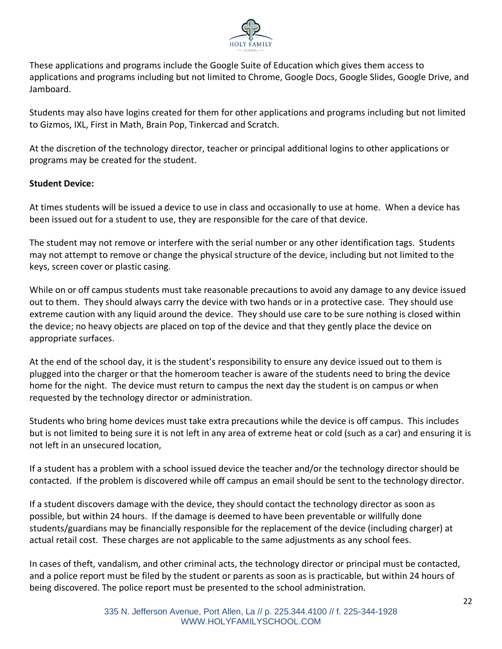

These applications and programs include the Google Suite of Education which gives them access to applications and programs including but not limited to Chrome, Google Docs, Google Slides, Google Drive, and Jamboard.

Students may also have logins created for them for other applications and programs including but not limited to Gizmos, IXL, First in Math, Brain Pop, Tinkercad and Scratch.

At the discretion of the technology director, teacher or principal additional logins to other applications or programs may be created for the student.

## **Student Device:**

At times students will be issued a device to use in class and occasionally to use at home. When a device has been issued out for a student to use, they are responsible for the care of that device.

The student may not remove or interfere with the serial number or any other identification tags. Students may not attempt to remove or change the physical structure of the device, including but not limited to the keys, screen cover or plastic casing.

While on or off campus students must take reasonable precautions to avoid any damage to any device issued out to them. They should always carry the device with two hands or in a protective case. They should use extreme caution with any liquid around the device. They should use care to be sure nothing is closed within the device; no heavy objects are placed on top of the device and that they gently place the device on appropriate surfaces.

At the end of the school day, it is the student's responsibility to ensure any device issued out to them is plugged into the charger or that the homeroom teacher is aware of the students need to bring the device home for the night. The device must return to campus the next day the student is on campus or when requested by the technology director or administration.

Students who bring home devices must take extra precautions while the device is off campus. This includes but is not limited to being sure it is not left in any area of extreme heat or cold (such as a car) and ensuring it is not left in an unsecured location,

If a student has a problem with a school issued device the teacher and/or the technology director should be contacted. If the problem is discovered while off campus an email should be sent to the technology director.

If a student discovers damage with the device, they should contact the technology director as soon as possible, but within 24 hours. If the damage is deemed to have been preventable or willfully done students/guardians may be financially responsible for the replacement of the device (including charger) at actual retail cost. These charges are not applicable to the same adjustments as any school fees.

In cases of theft, vandalism, and other criminal acts, the technology director or principal must be contacted, and a police report must be filed by the student or parents as soon as is practicable, but within 24 hours of being discovered. The police report must be presented to the school administration.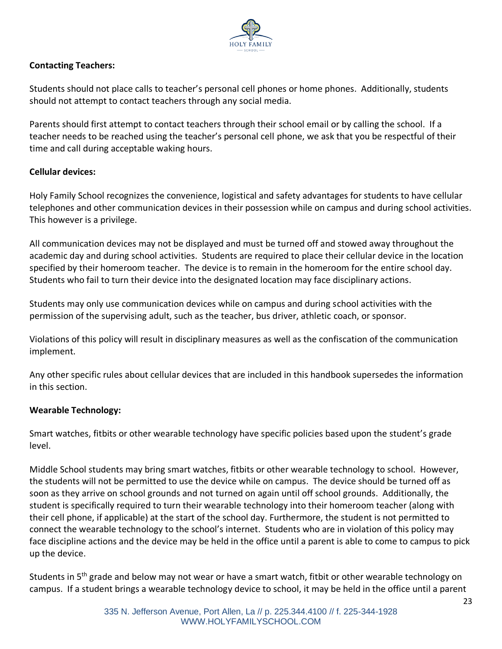

## **Contacting Teachers:**

Students should not place calls to teacher's personal cell phones or home phones. Additionally, students should not attempt to contact teachers through any social media.

Parents should first attempt to contact teachers through their school email or by calling the school. If a teacher needs to be reached using the teacher's personal cell phone, we ask that you be respectful of their time and call during acceptable waking hours.

## **Cellular devices:**

Holy Family School recognizes the convenience, logistical and safety advantages for students to have cellular telephones and other communication devices in their possession while on campus and during school activities. This however is a privilege.

All communication devices may not be displayed and must be turned off and stowed away throughout the academic day and during school activities. Students are required to place their cellular device in the location specified by their homeroom teacher. The device is to remain in the homeroom for the entire school day. Students who fail to turn their device into the designated location may face disciplinary actions.

Students may only use communication devices while on campus and during school activities with the permission of the supervising adult, such as the teacher, bus driver, athletic coach, or sponsor.

Violations of this policy will result in disciplinary measures as well as the confiscation of the communication implement.

Any other specific rules about cellular devices that are included in this handbook supersedes the information in this section.

## **Wearable Technology:**

Smart watches, fitbits or other wearable technology have specific policies based upon the student's grade level.

Middle School students may bring smart watches, fitbits or other wearable technology to school. However, the students will not be permitted to use the device while on campus. The device should be turned off as soon as they arrive on school grounds and not turned on again until off school grounds. Additionally, the student is specifically required to turn their wearable technology into their homeroom teacher (along with their cell phone, if applicable) at the start of the school day. Furthermore, the student is not permitted to connect the wearable technology to the school's internet. Students who are in violation of this policy may face discipline actions and the device may be held in the office until a parent is able to come to campus to pick up the device.

Students in 5<sup>th</sup> grade and below may not wear or have a smart watch, fitbit or other wearable technology on campus. If a student brings a wearable technology device to school, it may be held in the office until a parent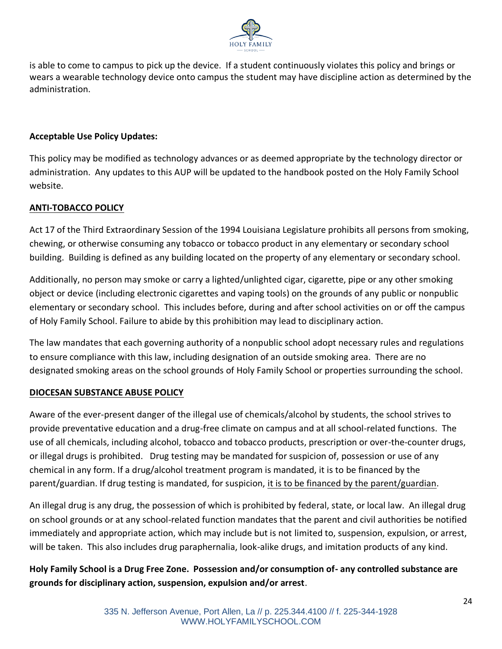

is able to come to campus to pick up the device. If a student continuously violates this policy and brings or wears a wearable technology device onto campus the student may have discipline action as determined by the administration.

## **Acceptable Use Policy Updates:**

This policy may be modified as technology advances or as deemed appropriate by the technology director or administration. Any updates to this AUP will be updated to the handbook posted on the Holy Family School website.

## **ANTI-TOBACCO POLICY**

Act 17 of the Third Extraordinary Session of the 1994 Louisiana Legislature prohibits all persons from smoking, chewing, or otherwise consuming any tobacco or tobacco product in any elementary or secondary school building. Building is defined as any building located on the property of any elementary or secondary school.

Additionally, no person may smoke or carry a lighted/unlighted cigar, cigarette, pipe or any other smoking object or device (including electronic cigarettes and vaping tools) on the grounds of any public or nonpublic elementary or secondary school. This includes before, during and after school activities on or off the campus of Holy Family School. Failure to abide by this prohibition may lead to disciplinary action.

The law mandates that each governing authority of a nonpublic school adopt necessary rules and regulations to ensure compliance with this law, including designation of an outside smoking area. There are no designated smoking areas on the school grounds of Holy Family School or properties surrounding the school.

#### **DIOCESAN SUBSTANCE ABUSE POLICY**

Aware of the ever-present danger of the illegal use of chemicals/alcohol by students, the school strives to provide preventative education and a drug-free climate on campus and at all school-related functions. The use of all chemicals, including alcohol, tobacco and tobacco products, prescription or over-the-counter drugs, or illegal drugs is prohibited. Drug testing may be mandated for suspicion of, possession or use of any chemical in any form. If a drug/alcohol treatment program is mandated, it is to be financed by the parent/guardian. If drug testing is mandated, for suspicion, it is to be financed by the parent/guardian.

An illegal drug is any drug, the possession of which is prohibited by federal, state, or local law. An illegal drug on school grounds or at any school-related function mandates that the parent and civil authorities be notified immediately and appropriate action, which may include but is not limited to, suspension, expulsion, or arrest, will be taken. This also includes drug paraphernalia, look-alike drugs, and imitation products of any kind.

**Holy Family School is a Drug Free Zone. Possession and/or consumption of- any controlled substance are grounds for disciplinary action, suspension, expulsion and/or arrest**.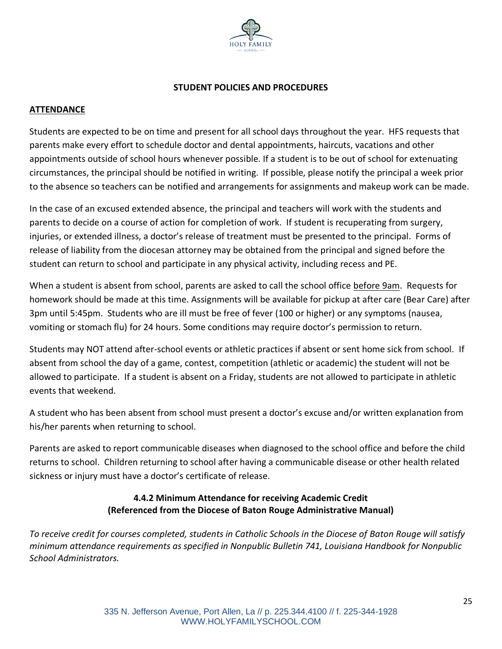

#### **STUDENT POLICIES AND PROCEDURES**

#### **ATTENDANCE**

Students are expected to be on time and present for all school days throughout the year. HFS requests that parents make every effort to schedule doctor and dental appointments, haircuts, vacations and other appointments outside of school hours whenever possible. If a student is to be out of school for extenuating circumstances, the principal should be notified in writing. If possible, please notify the principal a week prior to the absence so teachers can be notified and arrangements for assignments and makeup work can be made.

In the case of an excused extended absence, the principal and teachers will work with the students and parents to decide on a course of action for completion of work. If student is recuperating from surgery, injuries, or extended illness, a doctor's release of treatment must be presented to the principal. Forms of release of liability from the diocesan attorney may be obtained from the principal and signed before the student can return to school and participate in any physical activity, including recess and PE.

When a student is absent from school, parents are asked to call the school office before 9am. Requests for homework should be made at this time. Assignments will be available for pickup at after care (Bear Care) after 3pm until 5:45pm. Students who are ill must be free of fever (100 or higher) or any symptoms (nausea, vomiting or stomach flu) for 24 hours. Some conditions may require doctor's permission to return.

Students may NOT attend after-school events or athletic practices if absent or sent home sick from school. If absent from school the day of a game, contest, competition (athletic or academic) the student will not be allowed to participate. If a student is absent on a Friday, students are not allowed to participate in athletic events that weekend.

A student who has been absent from school must present a doctor's excuse and/or written explanation from his/her parents when returning to school.

Parents are asked to report communicable diseases when diagnosed to the school office and before the child returns to school. Children returning to school after having a communicable disease or other health related sickness or injury must have a doctor's certificate of release.

## **4.4.2 Minimum Attendance for receiving Academic Credit (Referenced from the Diocese of Baton Rouge Administrative Manual)**

*To receive credit for courses completed, students in Catholic Schools in the Diocese of Baton Rouge will satisfy minimum attendance requirements as specified in Nonpublic Bulletin 741, Louisiana Handbook for Nonpublic School Administrators.*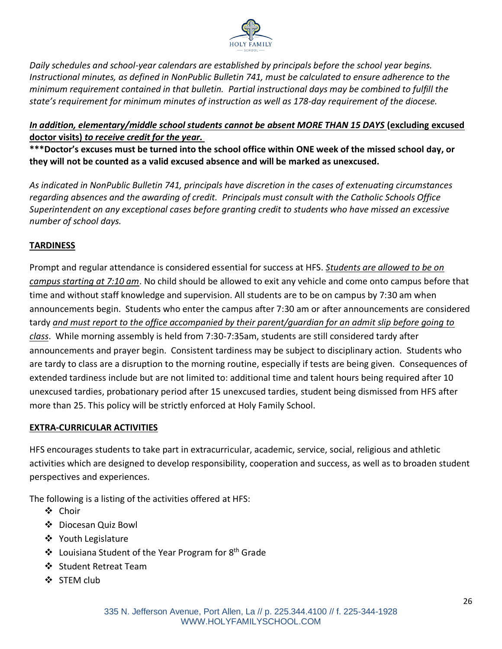

*Daily schedules and school-year calendars are established by principals before the school year begins. Instructional minutes, as defined in NonPublic Bulletin 741, must be calculated to ensure adherence to the minimum requirement contained in that bulletin. Partial instructional days may be combined to fulfill the state's requirement for minimum minutes of instruction as well as 178-day requirement of the diocese.*

## *In addition, elementary/middle school students cannot be absent MORE THAN 15 DAYS* **(excluding excused doctor visits)** *to receive credit for the year.*

**\*\*\*Doctor's excuses must be turned into the school office within ONE week of the missed school day, or they will not be counted as a valid excused absence and will be marked as unexcused.**

*As indicated in NonPublic Bulletin 741, principals have discretion in the cases of extenuating circumstances regarding absences and the awarding of credit. Principals must consult with the Catholic Schools Office Superintendent on any exceptional cases before granting credit to students who have missed an excessive number of school days.* 

## **TARDINESS**

Prompt and regular attendance is considered essential for success at HFS. *Students are allowed to be on campus starting at 7:10 am*. No child should be allowed to exit any vehicle and come onto campus before that time and without staff knowledge and supervision. All students are to be on campus by 7:30 am when announcements begin. Students who enter the campus after 7:30 am or after announcements are considered tardy *and must report to the office accompanied by their parent/guardian for an admit slip before going to class*. While morning assembly is held from 7:30-7:35am, students are still considered tardy after announcements and prayer begin. Consistent tardiness may be subject to disciplinary action. Students who are tardy to class are a disruption to the morning routine, especially if tests are being given. Consequences of extended tardiness include but are not limited to: additional time and talent hours being required after 10 unexcused tardies, probationary period after 15 unexcused tardies, student being dismissed from HFS after more than 25. This policy will be strictly enforced at Holy Family School.

## **EXTRA-CURRICULAR ACTIVITIES**

HFS encourages students to take part in extracurricular, academic, service, social, religious and athletic activities which are designed to develop responsibility, cooperation and success, as well as to broaden student perspectives and experiences.

The following is a listing of the activities offered at HFS:

- ❖ Choir
- ❖ Diocesan Quiz Bowl
- ❖ Youth Legislature
- ❖ Louisiana Student of the Year Program for 8 th Grade
- ❖ Student Retreat Team
- ❖ STEM club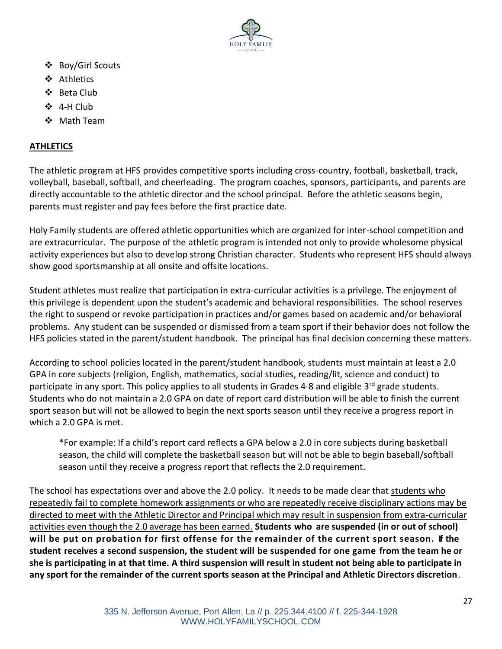

- ❖ Boy/Girl Scouts
- ❖ Athletics
- ❖ Beta Club
- ❖ 4-H Club
- ❖ Math Team

## **ATHLETICS**

The athletic program at HFS provides competitive sports including cross-country, football, basketball, track, volleyball, baseball, softball, and cheerleading. The program coaches, sponsors, participants, and parents are directly accountable to the athletic director and the school principal. Before the athletic seasons begin, parents must register and pay fees before the first practice date.

Holy Family students are offered athletic opportunities which are organized for inter-school competition and are extracurricular. The purpose of the athletic program is intended not only to provide wholesome physical activity experiences but also to develop strong Christian character. Students who represent HFS should always show good sportsmanship at all onsite and offsite locations.

Student athletes must realize that participation in extra-curricular activities is a privilege. The enjoyment of this privilege is dependent upon the student's academic and behavioral responsibilities. The school reserves the right to suspend or revoke participation in practices and/or games based on academic and/or behavioral problems. Any student can be suspended or dismissed from a team sport if their behavior does not follow the HFS policies stated in the parent/student handbook. The principal has final decision concerning these matters.

According to school policies located in the parent/student handbook, students must maintain at least a 2.0 GPA in core subjects (religion, English, mathematics, social studies, reading/lit, science and conduct) to participate in any sport. This policy applies to all students in Grades 4-8 and eligible 3<sup>rd</sup> grade students. Students who do not maintain a 2.0 GPA on date of report card distribution will be able to finish the current sport season but will not be allowed to begin the next sports season until they receive a progress report in which a 2.0 GPA is met.

\*For example: If a child's report card reflects a GPA below a 2.0 in core subjects during basketball season, the child will complete the basketball season but will not be able to begin baseball/softball season until they receive a progress report that reflects the 2.0 requirement.

The school has expectations over and above the 2.0 policy. It needs to be made clear that students who repeatedly fail to complete homework assignments or who are repeatedly receive disciplinary actions may be directed to meet with the Athletic Director and Principal which may result in suspension from extra-curricular activities even though the 2.0 average has been earned. **Students who are suspended (in or out of school) will be put on probation for first offense for the remainder of the current sport season. If the student receives a second suspension, the student will be suspended for one game from the team he or she is participating in at that time. A third suspension will result in student not being able to participate in any sport for the remainder of the current sports season at the Principal and Athletic Directors discretion**.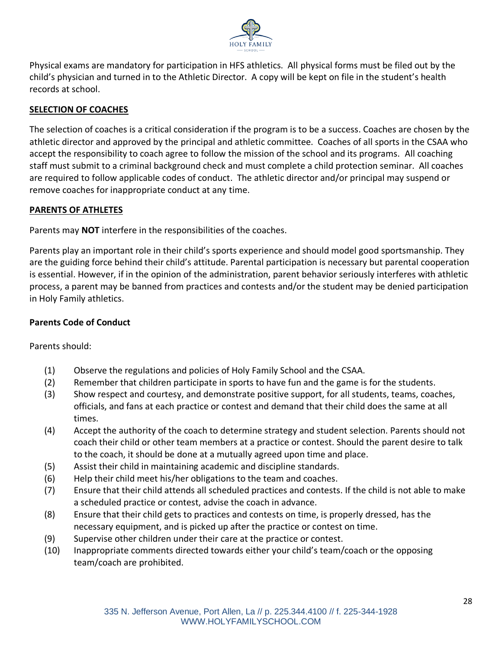

Physical exams are mandatory for participation in HFS athletics. All physical forms must be filed out by the child's physician and turned in to the Athletic Director. A copy will be kept on file in the student's health records at school.

## **SELECTION OF COACHES**

The selection of coaches is a critical consideration if the program is to be a success. Coaches are chosen by the athletic director and approved by the principal and athletic committee. Coaches of all sports in the CSAA who accept the responsibility to coach agree to follow the mission of the school and its programs. All coaching staff must submit to a criminal background check and must complete a child protection seminar. All coaches are required to follow applicable codes of conduct. The athletic director and/or principal may suspend or remove coaches for inappropriate conduct at any time.

## **PARENTS OF ATHLETES**

Parents may **NOT** interfere in the responsibilities of the coaches.

Parents play an important role in their child's sports experience and should model good sportsmanship. They are the guiding force behind their child's attitude. Parental participation is necessary but parental cooperation is essential. However, if in the opinion of the administration, parent behavior seriously interferes with athletic process, a parent may be banned from practices and contests and/or the student may be denied participation in Holy Family athletics.

## **Parents Code of Conduct**

Parents should:

- (1) Observe the regulations and policies of Holy Family School and the CSAA.
- (2) Remember that children participate in sports to have fun and the game is for the students.
- (3) Show respect and courtesy, and demonstrate positive support, for all students, teams, coaches, officials, and fans at each practice or contest and demand that their child does the same at all times.
- (4) Accept the authority of the coach to determine strategy and student selection. Parents should not coach their child or other team members at a practice or contest. Should the parent desire to talk to the coach, it should be done at a mutually agreed upon time and place.
- (5) Assist their child in maintaining academic and discipline standards.
- (6) Help their child meet his/her obligations to the team and coaches.
- (7) Ensure that their child attends all scheduled practices and contests. If the child is not able to make a scheduled practice or contest, advise the coach in advance.
- (8) Ensure that their child gets to practices and contests on time, is properly dressed, has the necessary equipment, and is picked up after the practice or contest on time.
- (9) Supervise other children under their care at the practice or contest.
- (10) Inappropriate comments directed towards either your child's team/coach or the opposing team/coach are prohibited.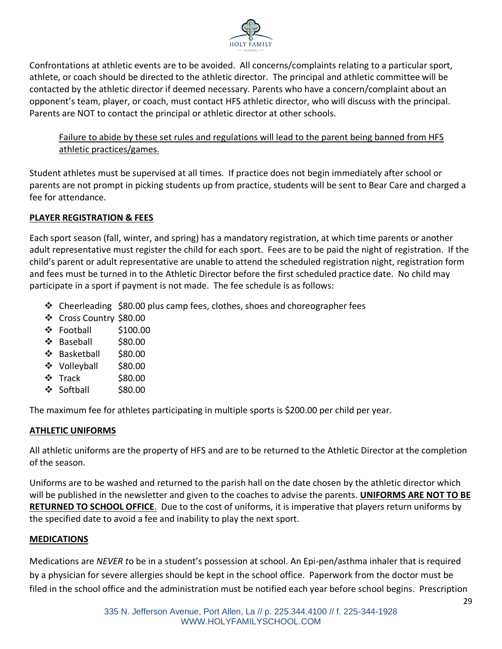

Confrontations at athletic events are to be avoided. All concerns/complaints relating to a particular sport, athlete, or coach should be directed to the athletic director. The principal and athletic committee will be contacted by the athletic director if deemed necessary. Parents who have a concern/complaint about an opponent's team, player, or coach, must contact HFS athletic director, who will discuss with the principal. Parents are NOT to contact the principal or athletic director at other schools.

Failure to abide by these set rules and regulations will lead to the parent being banned from HFS athletic practices/games.

Student athletes must be supervised at all times. If practice does not begin immediately after school or parents are not prompt in picking students up from practice, students will be sent to Bear Care and charged a fee for attendance.

## **PLAYER REGISTRATION & FEES**

Each sport season (fall, winter, and spring) has a mandatory registration, at which time parents or another adult representative must register the child for each sport. Fees are to be paid the night of registration. If the child's parent or adult representative are unable to attend the scheduled registration night, registration form and fees must be turned in to the Athletic Director before the first scheduled practice date. No child may participate in a sport if payment is not made. The fee schedule is as follows:

- ❖ Cheerleading \$80.00 plus camp fees, clothes, shoes and choreographer fees
- ❖ Cross Country \$80.00
- ❖ Football \$100.00
- ❖ Baseball \$80.00
- ❖ Basketball \$80.00
- ❖ Volleyball \$80.00
- ❖ Track \$80.00
- ❖ Softball \$80.00

The maximum fee for athletes participating in multiple sports is \$200.00 per child per year.

## **ATHLETIC UNIFORMS**

All athletic uniforms are the property of HFS and are to be returned to the Athletic Director at the completion of the season.

Uniforms are to be washed and returned to the parish hall on the date chosen by the athletic director which will be published in the newsletter and given to the coaches to advise the parents. **UNIFORMS ARE NOT TO BE RETURNED TO SCHOOL OFFICE**. Due to the cost of uniforms, it is imperative that players return uniforms by the specified date to avoid a fee and inability to play the next sport.

## **MEDICATIONS**

Medications are *NEVER t*o be in a student's possession at school. An Epi-pen/asthma inhaler that is required by a physician for severe allergies should be kept in the school office. Paperwork from the doctor must be filed in the school office and the administration must be notified each year before school begins. Prescription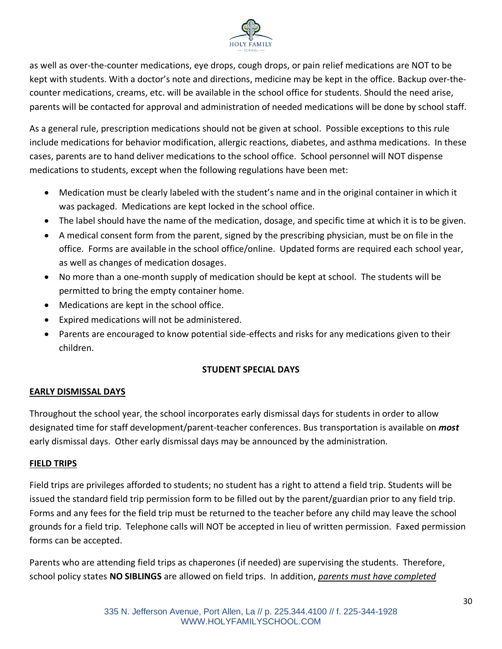

as well as over-the-counter medications, eye drops, cough drops, or pain relief medications are NOT to be kept with students. With a doctor's note and directions, medicine may be kept in the office. Backup over-thecounter medications, creams, etc. will be available in the school office for students. Should the need arise, parents will be contacted for approval and administration of needed medications will be done by school staff.

As a general rule, prescription medications should not be given at school. Possible exceptions to this rule include medications for behavior modification, allergic reactions, diabetes, and asthma medications. In these cases, parents are to hand deliver medications to the school office. School personnel will NOT dispense medications to students, except when the following regulations have been met:

- Medication must be clearly labeled with the student's name and in the original container in which it was packaged. Medications are kept locked in the school office.
- The label should have the name of the medication, dosage, and specific time at which it is to be given.
- A medical consent form from the parent, signed by the prescribing physician, must be on file in the office. Forms are available in the school office/online. Updated forms are required each school year, as well as changes of medication dosages.
- No more than a one-month supply of medication should be kept at school. The students will be permitted to bring the empty container home.
- Medications are kept in the school office.
- Expired medications will not be administered.
- Parents are encouraged to know potential side-effects and risks for any medications given to their children.

## **STUDENT SPECIAL DAYS**

#### **EARLY DISMISSAL DAYS**

Throughout the school year, the school incorporates early dismissal days for students in order to allow designated time for staff development/parent-teacher conferences. Bus transportation is available on *most* early dismissal days. Other early dismissal days may be announced by the administration.

#### **FIELD TRIPS**

Field trips are privileges afforded to students; no student has a right to attend a field trip. Students will be issued the standard field trip permission form to be filled out by the parent/guardian prior to any field trip. Forms and any fees for the field trip must be returned to the teacher before any child may leave the school grounds for a field trip. Telephone calls will NOT be accepted in lieu of written permission. Faxed permission forms can be accepted.

Parents who are attending field trips as chaperones (if needed) are supervising the students. Therefore, school policy states **NO SIBLINGS** are allowed on field trips. In addition, *parents must have completed*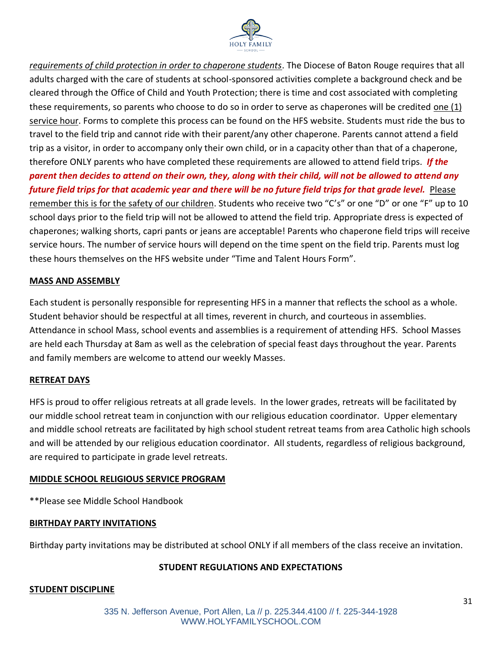

*requirements of child protection in order to chaperone students*. The Diocese of Baton Rouge requires that all adults charged with the care of students at school-sponsored activities complete a background check and be cleared through the Office of Child and Youth Protection; there is time and cost associated with completing these requirements, so parents who choose to do so in order to serve as chaperones will be credited one (1) service hour. Forms to complete this process can be found on the HFS website. Students must ride the bus to travel to the field trip and cannot ride with their parent/any other chaperone. Parents cannot attend a field trip as a visitor, in order to accompany only their own child, or in a capacity other than that of a chaperone, therefore ONLY parents who have completed these requirements are allowed to attend field trips. *If the parent then decides to attend on their own, they, along with their child, will not be allowed to attend any future field trips for that academic year and there will be no future field trips for that grade level.* Please remember this is for the safety of our children. Students who receive two "C's" or one "D" or one "F" up to 10 school days prior to the field trip will not be allowed to attend the field trip. Appropriate dress is expected of chaperones; walking shorts, capri pants or jeans are acceptable! Parents who chaperone field trips will receive service hours. The number of service hours will depend on the time spent on the field trip. Parents must log these hours themselves on the HFS website under "Time and Talent Hours Form".

#### **MASS AND ASSEMBLY**

Each student is personally responsible for representing HFS in a manner that reflects the school as a whole. Student behavior should be respectful at all times, reverent in church, and courteous in assemblies. Attendance in school Mass, school events and assemblies is a requirement of attending HFS. School Masses are held each Thursday at 8am as well as the celebration of special feast days throughout the year. Parents and family members are welcome to attend our weekly Masses.

#### **RETREAT DAYS**

HFS is proud to offer religious retreats at all grade levels. In the lower grades, retreats will be facilitated by our middle school retreat team in conjunction with our religious education coordinator. Upper elementary and middle school retreats are facilitated by high school student retreat teams from area Catholic high schools and will be attended by our religious education coordinator. All students, regardless of religious background, are required to participate in grade level retreats.

#### **MIDDLE SCHOOL RELIGIOUS SERVICE PROGRAM**

\*\*Please see Middle School Handbook

#### **BIRTHDAY PARTY INVITATIONS**

Birthday party invitations may be distributed at school ONLY if all members of the class receive an invitation.

#### **STUDENT REGULATIONS AND EXPECTATIONS**

#### **STUDENT DISCIPLINE**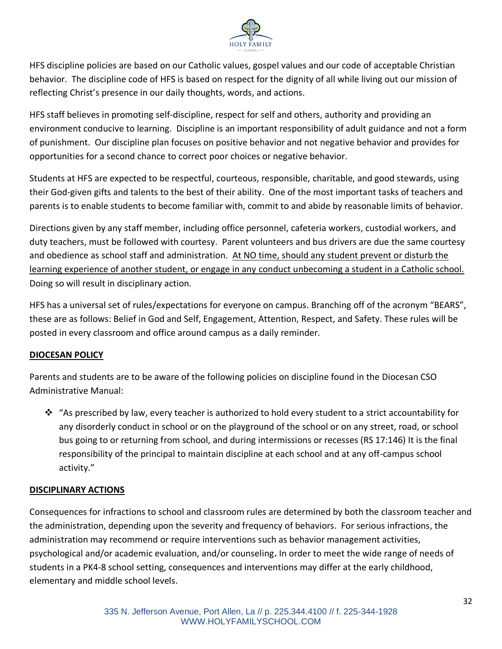

HFS discipline policies are based on our Catholic values, gospel values and our code of acceptable Christian behavior. The discipline code of HFS is based on respect for the dignity of all while living out our mission of reflecting Christ's presence in our daily thoughts, words, and actions.

HFS staff believes in promoting self-discipline, respect for self and others, authority and providing an environment conducive to learning. Discipline is an important responsibility of adult guidance and not a form of punishment. Our discipline plan focuses on positive behavior and not negative behavior and provides for opportunities for a second chance to correct poor choices or negative behavior.

Students at HFS are expected to be respectful, courteous, responsible, charitable, and good stewards, using their God-given gifts and talents to the best of their ability. One of the most important tasks of teachers and parents is to enable students to become familiar with, commit to and abide by reasonable limits of behavior.

Directions given by any staff member, including office personnel, cafeteria workers, custodial workers, and duty teachers, must be followed with courtesy. Parent volunteers and bus drivers are due the same courtesy and obedience as school staff and administration. At NO time, should any student prevent or disturb the learning experience of another student, or engage in any conduct unbecoming a student in a Catholic school. Doing so will result in disciplinary action.

HFS has a universal set of rules/expectations for everyone on campus. Branching off of the acronym "BEARS", these are as follows: Belief in God and Self, Engagement, Attention, Respect, and Safety. These rules will be posted in every classroom and office around campus as a daily reminder.

# **DIOCESAN POLICY**

Parents and students are to be aware of the following policies on discipline found in the Diocesan CSO Administrative Manual:

◆ "As prescribed by law, every teacher is authorized to hold every student to a strict accountability for any disorderly conduct in school or on the playground of the school or on any street, road, or school bus going to or returning from school, and during intermissions or recesses (RS 17:146) It is the final responsibility of the principal to maintain discipline at each school and at any off-campus school activity."

## **DISCIPLINARY ACTIONS**

Consequences for infractions to school and classroom rules are determined by both the classroom teacher and the administration, depending upon the severity and frequency of behaviors. For serious infractions, the administration may recommend or require interventions such as behavior management activities, psychological and/or academic evaluation, and/or counseling**.** In order to meet the wide range of needs of students in a PK4-8 school setting, consequences and interventions may differ at the early childhood, elementary and middle school levels.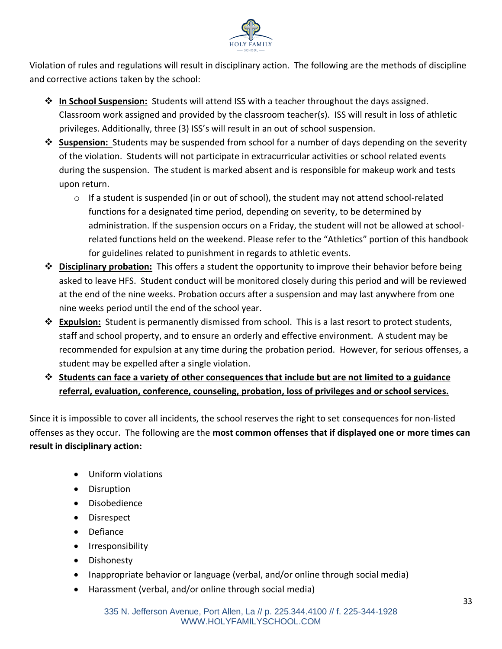

Violation of rules and regulations will result in disciplinary action. The following are the methods of discipline and corrective actions taken by the school:

- ❖ **In School Suspension:** Students will attend ISS with a teacher throughout the days assigned. Classroom work assigned and provided by the classroom teacher(s). ISS will result in loss of athletic privileges. Additionally, three (3) ISS's will result in an out of school suspension.
- ❖ **Suspension:** Students may be suspended from school for a number of days depending on the severity of the violation. Students will not participate in extracurricular activities or school related events during the suspension. The student is marked absent and is responsible for makeup work and tests upon return.
	- o If a student is suspended (in or out of school), the student may not attend school-related functions for a designated time period, depending on severity, to be determined by administration. If the suspension occurs on a Friday, the student will not be allowed at schoolrelated functions held on the weekend. Please refer to the "Athletics" portion of this handbook for guidelines related to punishment in regards to athletic events.
- ❖ **Disciplinary probation:** This offers a student the opportunity to improve their behavior before being asked to leave HFS. Student conduct will be monitored closely during this period and will be reviewed at the end of the nine weeks. Probation occurs after a suspension and may last anywhere from one nine weeks period until the end of the school year.
- ❖ **Expulsion:** Student is permanently dismissed from school. This is a last resort to protect students, staff and school property, and to ensure an orderly and effective environment. A student may be recommended for expulsion at any time during the probation period. However, for serious offenses, a student may be expelled after a single violation.
- ❖ **Students can face a variety of other consequences that include but are not limited to a guidance referral, evaluation, conference, counseling, probation, loss of privileges and or school services.**

Since it is impossible to cover all incidents, the school reserves the right to set consequences for non-listed offenses as they occur. The following are the **most common offenses that if displayed one or more times can result in disciplinary action:**

- Uniform violations
- Disruption
- Disobedience
- Disrespect
- Defiance
- Irresponsibility
- Dishonesty
- Inappropriate behavior or language (verbal, and/or online through social media)
- Harassment (verbal, and/or online through social media)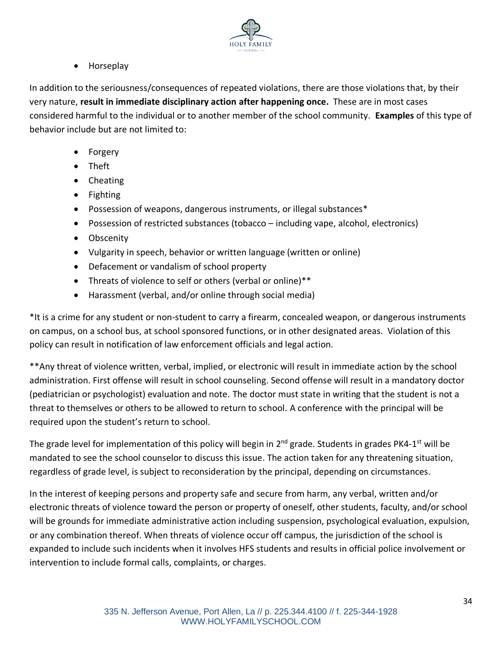

• Horseplay

In addition to the seriousness/consequences of repeated violations, there are those violations that, by their very nature, **result in immediate disciplinary action after happening once.** These are in most cases considered harmful to the individual or to another member of the school community. **Examples** of this type of behavior include but are not limited to:

- Forgery
- Theft
- Cheating
- Fighting
- Possession of weapons, dangerous instruments, or illegal substances\*
- Possession of restricted substances (tobacco including vape, alcohol, electronics)
- Obscenity
- Vulgarity in speech, behavior or written language (written or online)
- Defacement or vandalism of school property
- Threats of violence to self or others (verbal or online)\*\*
- Harassment (verbal, and/or online through social media)

\*It is a crime for any student or non-student to carry a firearm, concealed weapon, or dangerous instruments on campus, on a school bus, at school sponsored functions, or in other designated areas. Violation of this policy can result in notification of law enforcement officials and legal action.

\*\*Any threat of violence written, verbal, implied, or electronic will result in immediate action by the school administration. First offense will result in school counseling. Second offense will result in a mandatory doctor (pediatrician or psychologist) evaluation and note. The doctor must state in writing that the student is not a threat to themselves or others to be allowed to return to school. A conference with the principal will be required upon the student's return to school.

The grade level for implementation of this policy will begin in 2<sup>nd</sup> grade. Students in grades PK4-1<sup>st</sup> will be mandated to see the school counselor to discuss this issue. The action taken for any threatening situation, regardless of grade level, is subject to reconsideration by the principal, depending on circumstances.

In the interest of keeping persons and property safe and secure from harm, any verbal, written and/or electronic threats of violence toward the person or property of oneself, other students, faculty, and/or school will be grounds for immediate administrative action including suspension, psychological evaluation, expulsion, or any combination thereof. When threats of violence occur off campus, the jurisdiction of the school is expanded to include such incidents when it involves HFS students and results in official police involvement or intervention to include formal calls, complaints, or charges.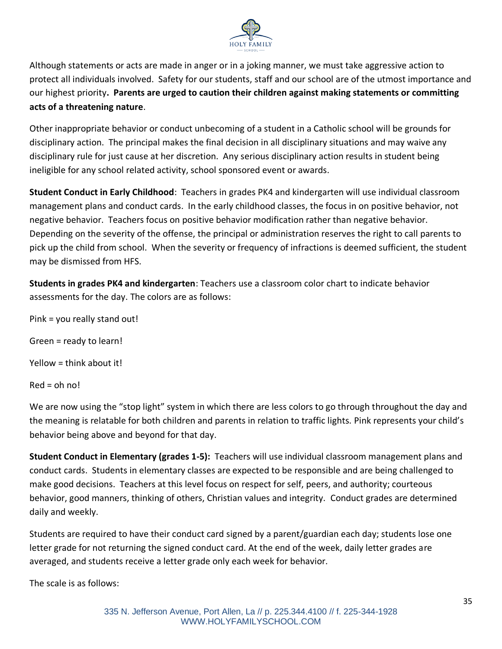

Although statements or acts are made in anger or in a joking manner, we must take aggressive action to protect all individuals involved. Safety for our students, staff and our school are of the utmost importance and our highest priority**. Parents are urged to caution their children against making statements or committing acts of a threatening nature**.

Other inappropriate behavior or conduct unbecoming of a student in a Catholic school will be grounds for disciplinary action. The principal makes the final decision in all disciplinary situations and may waive any disciplinary rule for just cause at her discretion. Any serious disciplinary action results in student being ineligible for any school related activity, school sponsored event or awards.

**Student Conduct in Early Childhood**: Teachers in grades PK4 and kindergarten will use individual classroom management plans and conduct cards. In the early childhood classes, the focus in on positive behavior, not negative behavior. Teachers focus on positive behavior modification rather than negative behavior. Depending on the severity of the offense, the principal or administration reserves the right to call parents to pick up the child from school. When the severity or frequency of infractions is deemed sufficient, the student may be dismissed from HFS.

**Students in grades PK4 and kindergarten**: Teachers use a classroom color chart to indicate behavior assessments for the day. The colors are as follows:

Pink = you really stand out!

Green = ready to learn!

Yellow = think about it!

 $Red = oh$  no!

We are now using the "stop light" system in which there are less colors to go through throughout the day and the meaning is relatable for both children and parents in relation to traffic lights. Pink represents your child's behavior being above and beyond for that day.

**Student Conduct in Elementary (grades 1-5):** Teachers will use individual classroom management plans and conduct cards. Students in elementary classes are expected to be responsible and are being challenged to make good decisions. Teachers at this level focus on respect for self, peers, and authority; courteous behavior, good manners, thinking of others, Christian values and integrity. Conduct grades are determined daily and weekly.

Students are required to have their conduct card signed by a parent/guardian each day; students lose one letter grade for not returning the signed conduct card. At the end of the week, daily letter grades are averaged, and students receive a letter grade only each week for behavior.

The scale is as follows: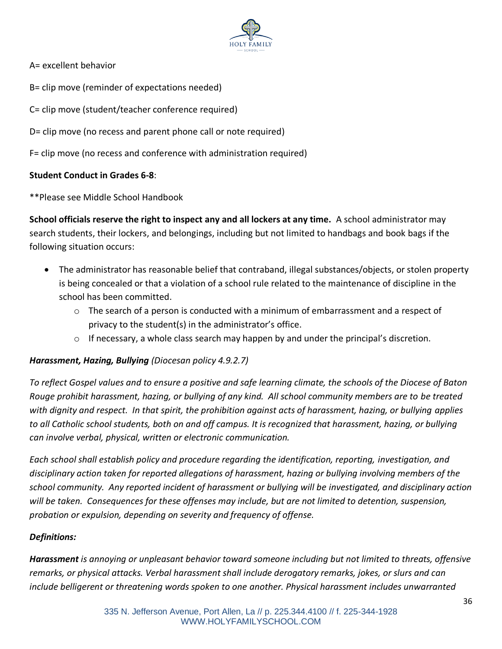

A= excellent behavior

B= clip move (reminder of expectations needed)

C= clip move (student/teacher conference required)

D= clip move (no recess and parent phone call or note required)

F= clip move (no recess and conference with administration required)

## **Student Conduct in Grades 6-8**:

\*\*Please see Middle School Handbook

**School officials reserve the right to inspect any and all lockers at any time.** A school administrator may search students, their lockers, and belongings, including but not limited to handbags and book bags if the following situation occurs:

- The administrator has reasonable belief that contraband, illegal substances/objects, or stolen property is being concealed or that a violation of a school rule related to the maintenance of discipline in the school has been committed.
	- $\circ$  The search of a person is conducted with a minimum of embarrassment and a respect of privacy to the student(s) in the administrator's office.
	- $\circ$  If necessary, a whole class search may happen by and under the principal's discretion.

## *Harassment, Hazing, Bullying (Diocesan policy 4.9.2.7)*

*To reflect Gospel values and to ensure a positive and safe learning climate, the schools of the Diocese of Baton Rouge prohibit harassment, hazing, or bullying of any kind. All school community members are to be treated with dignity and respect. In that spirit, the prohibition against acts of harassment, hazing, or bullying applies to all Catholic school students, both on and off campus. It is recognized that harassment, hazing, or bullying can involve verbal, physical, written or electronic communication.*

*Each school shall establish policy and procedure regarding the identification, reporting, investigation, and disciplinary action taken for reported allegations of harassment, hazing or bullying involving members of the school community. Any reported incident of harassment or bullying will be investigated, and disciplinary action will be taken. Consequences for these offenses may include, but are not limited to detention, suspension, probation or expulsion, depending on severity and frequency of offense.*

## *Definitions:*

*Harassment is annoying or unpleasant behavior toward someone including but not limited to threats, offensive remarks, or physical attacks. Verbal harassment shall include derogatory remarks, jokes, or slurs and can include belligerent or threatening words spoken to one another. Physical harassment includes unwarranted*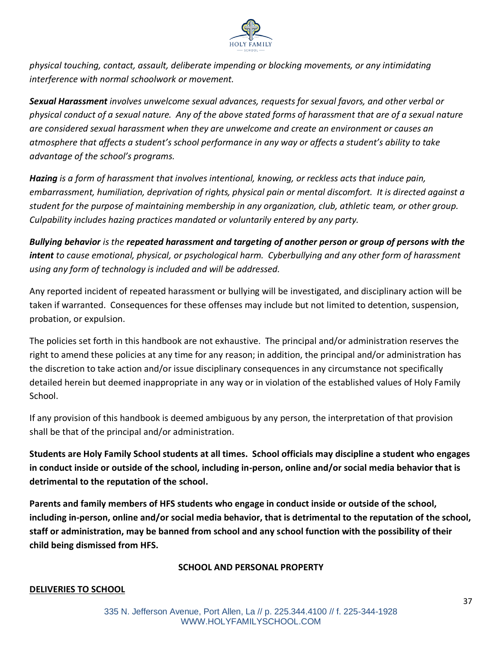

*physical touching, contact, assault, deliberate impending or blocking movements, or any intimidating interference with normal schoolwork or movement.* 

*Sexual Harassment involves unwelcome sexual advances, requests for sexual favors, and other verbal or physical conduct of a sexual nature. Any of the above stated forms of harassment that are of a sexual nature are considered sexual harassment when they are unwelcome and create an environment or causes an atmosphere that affects a student's school performance in any way or affects a student's ability to take advantage of the school's programs.*

*Hazing is a form of harassment that involves intentional, knowing, or reckless acts that induce pain, embarrassment, humiliation, deprivation of rights, physical pain or mental discomfort. It is directed against a student for the purpose of maintaining membership in any organization, club, athletic team, or other group. Culpability includes hazing practices mandated or voluntarily entered by any party.*

*Bullying behavior is the repeated harassment and targeting of another person or group of persons with the intent to cause emotional, physical, or psychological harm. Cyberbullying and any other form of harassment using any form of technology is included and will be addressed.*

Any reported incident of repeated harassment or bullying will be investigated, and disciplinary action will be taken if warranted. Consequences for these offenses may include but not limited to detention, suspension, probation, or expulsion.

The policies set forth in this handbook are not exhaustive. The principal and/or administration reserves the right to amend these policies at any time for any reason; in addition, the principal and/or administration has the discretion to take action and/or issue disciplinary consequences in any circumstance not specifically detailed herein but deemed inappropriate in any way or in violation of the established values of Holy Family School.

If any provision of this handbook is deemed ambiguous by any person, the interpretation of that provision shall be that of the principal and/or administration.

**Students are Holy Family School students at all times. School officials may discipline a student who engages in conduct inside or outside of the school, including in-person, online and/or social media behavior that is detrimental to the reputation of the school.**

**Parents and family members of HFS students who engage in conduct inside or outside of the school, including in-person, online and/or social media behavior, that is detrimental to the reputation of the school, staff or administration, may be banned from school and any school function with the possibility of their child being dismissed from HFS.**

## **SCHOOL AND PERSONAL PROPERTY**

## **DELIVERIES TO SCHOOL**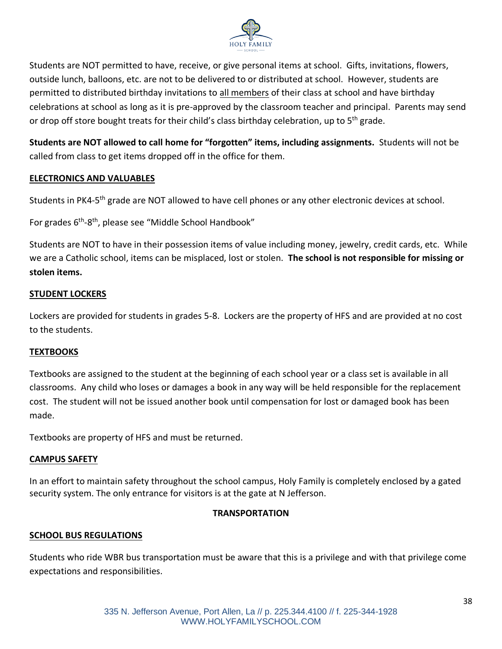

Students are NOT permitted to have, receive, or give personal items at school. Gifts, invitations, flowers, outside lunch, balloons, etc. are not to be delivered to or distributed at school. However, students are permitted to distributed birthday invitations to all members of their class at school and have birthday celebrations at school as long as it is pre-approved by the classroom teacher and principal. Parents may send or drop off store bought treats for their child's class birthday celebration, up to 5<sup>th</sup> grade.

**Students are NOT allowed to call home for "forgotten" items, including assignments.** Students will not be called from class to get items dropped off in the office for them.

## **ELECTRONICS AND VALUABLES**

Students in PK4-5<sup>th</sup> grade are NOT allowed to have cell phones or any other electronic devices at school.

For grades 6<sup>th</sup>-8<sup>th</sup>, please see "Middle School Handbook"

Students are NOT to have in their possession items of value including money, jewelry, credit cards, etc. While we are a Catholic school, items can be misplaced, lost or stolen. **The school is not responsible for missing or stolen items.**

#### **STUDENT LOCKERS**

Lockers are provided for students in grades 5-8. Lockers are the property of HFS and are provided at no cost to the students.

#### **TEXTBOOKS**

Textbooks are assigned to the student at the beginning of each school year or a class set is available in all classrooms. Any child who loses or damages a book in any way will be held responsible for the replacement cost. The student will not be issued another book until compensation for lost or damaged book has been made.

Textbooks are property of HFS and must be returned.

#### **CAMPUS SAFETY**

In an effort to maintain safety throughout the school campus, Holy Family is completely enclosed by a gated security system. The only entrance for visitors is at the gate at N Jefferson.

## **TRANSPORTATION**

#### **SCHOOL BUS REGULATIONS**

Students who ride WBR bus transportation must be aware that this is a privilege and with that privilege come expectations and responsibilities.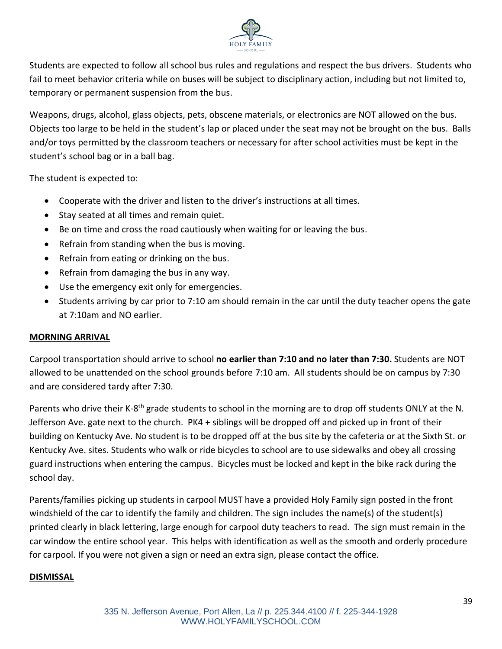

Students are expected to follow all school bus rules and regulations and respect the bus drivers. Students who fail to meet behavior criteria while on buses will be subject to disciplinary action, including but not limited to, temporary or permanent suspension from the bus.

Weapons, drugs, alcohol, glass objects, pets, obscene materials, or electronics are NOT allowed on the bus. Objects too large to be held in the student's lap or placed under the seat may not be brought on the bus. Balls and/or toys permitted by the classroom teachers or necessary for after school activities must be kept in the student's school bag or in a ball bag.

The student is expected to:

- Cooperate with the driver and listen to the driver's instructions at all times.
- Stay seated at all times and remain quiet.
- Be on time and cross the road cautiously when waiting for or leaving the bus.
- Refrain from standing when the bus is moving.
- Refrain from eating or drinking on the bus.
- Refrain from damaging the bus in any way.
- Use the emergency exit only for emergencies.
- Students arriving by car prior to 7:10 am should remain in the car until the duty teacher opens the gate at 7:10am and NO earlier.

#### **MORNING ARRIVAL**

Carpool transportation should arrive to school **no earlier than 7:10 and no later than 7:30.** Students are NOT allowed to be unattended on the school grounds before 7:10 am. All students should be on campus by 7:30 and are considered tardy after 7:30.

Parents who drive their K-8<sup>th</sup> grade students to school in the morning are to drop off students ONLY at the N. Jefferson Ave. gate next to the church. PK4 + siblings will be dropped off and picked up in front of their building on Kentucky Ave. No student is to be dropped off at the bus site by the cafeteria or at the Sixth St. or Kentucky Ave. sites. Students who walk or ride bicycles to school are to use sidewalks and obey all crossing guard instructions when entering the campus. Bicycles must be locked and kept in the bike rack during the school day.

Parents/families picking up students in carpool MUST have a provided Holy Family sign posted in the front windshield of the car to identify the family and children. The sign includes the name(s) of the student(s) printed clearly in black lettering, large enough for carpool duty teachers to read. The sign must remain in the car window the entire school year. This helps with identification as well as the smooth and orderly procedure for carpool. If you were not given a sign or need an extra sign, please contact the office.

#### **DISMISSAL**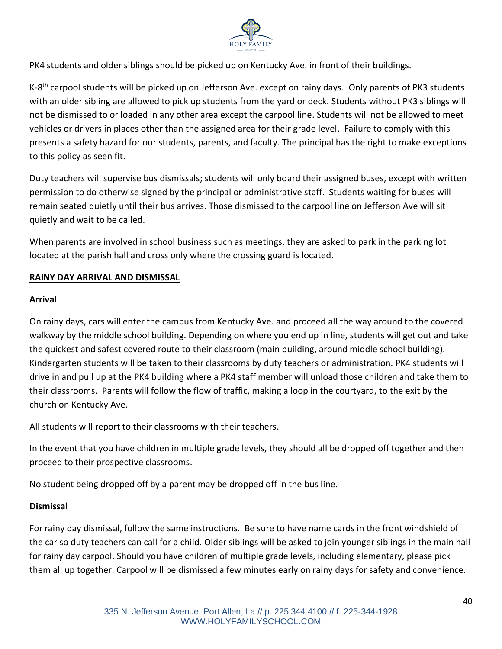

PK4 students and older siblings should be picked up on Kentucky Ave. in front of their buildings.

K-8<sup>th</sup> carpool students will be picked up on Jefferson Ave. except on rainy days. Only parents of PK3 students with an older sibling are allowed to pick up students from the yard or deck. Students without PK3 siblings will not be dismissed to or loaded in any other area except the carpool line. Students will not be allowed to meet vehicles or drivers in places other than the assigned area for their grade level. Failure to comply with this presents a safety hazard for our students, parents, and faculty. The principal has the right to make exceptions to this policy as seen fit.

Duty teachers will supervise bus dismissals; students will only board their assigned buses, except with written permission to do otherwise signed by the principal or administrative staff. Students waiting for buses will remain seated quietly until their bus arrives. Those dismissed to the carpool line on Jefferson Ave will sit quietly and wait to be called.

When parents are involved in school business such as meetings, they are asked to park in the parking lot located at the parish hall and cross only where the crossing guard is located.

## **RAINY DAY ARRIVAL AND DISMISSAL**

#### **Arrival**

On rainy days, cars will enter the campus from Kentucky Ave. and proceed all the way around to the covered walkway by the middle school building. Depending on where you end up in line, students will get out and take the quickest and safest covered route to their classroom (main building, around middle school building). Kindergarten students will be taken to their classrooms by duty teachers or administration. PK4 students will drive in and pull up at the PK4 building where a PK4 staff member will unload those children and take them to their classrooms. Parents will follow the flow of traffic, making a loop in the courtyard, to the exit by the church on Kentucky Ave.

All students will report to their classrooms with their teachers.

In the event that you have children in multiple grade levels, they should all be dropped off together and then proceed to their prospective classrooms.

No student being dropped off by a parent may be dropped off in the bus line.

#### **Dismissal**

For rainy day dismissal, follow the same instructions. Be sure to have name cards in the front windshield of the car so duty teachers can call for a child. Older siblings will be asked to join younger siblings in the main hall for rainy day carpool. Should you have children of multiple grade levels, including elementary, please pick them all up together. Carpool will be dismissed a few minutes early on rainy days for safety and convenience.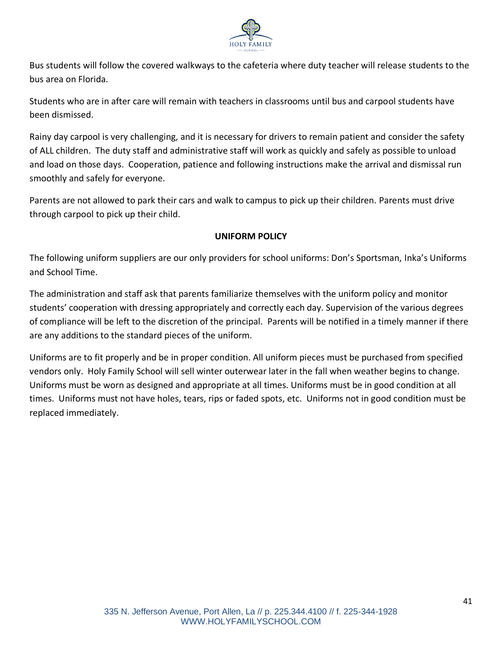

Bus students will follow the covered walkways to the cafeteria where duty teacher will release students to the bus area on Florida.

Students who are in after care will remain with teachers in classrooms until bus and carpool students have been dismissed.

Rainy day carpool is very challenging, and it is necessary for drivers to remain patient and consider the safety of ALL children. The duty staff and administrative staff will work as quickly and safely as possible to unload and load on those days. Cooperation, patience and following instructions make the arrival and dismissal run smoothly and safely for everyone.

Parents are not allowed to park their cars and walk to campus to pick up their children. Parents must drive through carpool to pick up their child.

# **UNIFORM POLICY**

The following uniform suppliers are our only providers for school uniforms: Don's Sportsman, Inka's Uniforms and School Time.

The administration and staff ask that parents familiarize themselves with the uniform policy and monitor students' cooperation with dressing appropriately and correctly each day. Supervision of the various degrees of compliance will be left to the discretion of the principal. Parents will be notified in a timely manner if there are any additions to the standard pieces of the uniform.

Uniforms are to fit properly and be in proper condition. All uniform pieces must be purchased from specified vendors only. Holy Family School will sell winter outerwear later in the fall when weather begins to change. Uniforms must be worn as designed and appropriate at all times. Uniforms must be in good condition at all times. Uniforms must not have holes, tears, rips or faded spots, etc. Uniforms not in good condition must be replaced immediately.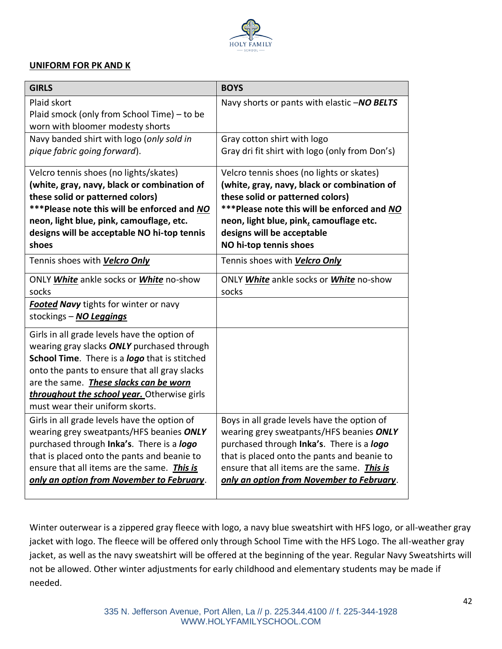

#### **UNIFORM FOR PK AND K**

| <b>GIRLS</b>                                                                                                                                                                                                                                                                                                             | <b>BOYS</b>                                                                                                                                                                                                                                                                     |
|--------------------------------------------------------------------------------------------------------------------------------------------------------------------------------------------------------------------------------------------------------------------------------------------------------------------------|---------------------------------------------------------------------------------------------------------------------------------------------------------------------------------------------------------------------------------------------------------------------------------|
| Plaid skort<br>Plaid smock (only from School Time) – to be<br>worn with bloomer modesty shorts                                                                                                                                                                                                                           | Navy shorts or pants with elastic -NO BELTS                                                                                                                                                                                                                                     |
| Navy banded shirt with logo (only sold in<br>pique fabric going forward).                                                                                                                                                                                                                                                | Gray cotton shirt with logo<br>Gray dri fit shirt with logo (only from Don's)                                                                                                                                                                                                   |
| Velcro tennis shoes (no lights/skates)<br>(white, gray, navy, black or combination of<br>these solid or patterned colors)<br>***Please note this will be enforced and NO<br>neon, light blue, pink, camouflage, etc.<br>designs will be acceptable NO hi-top tennis<br>shoes                                             | Velcro tennis shoes (no lights or skates)<br>(white, gray, navy, black or combination of<br>these solid or patterned colors)<br>***Please note this will be enforced and NO<br>neon, light blue, pink, camouflage etc.<br>designs will be acceptable<br>NO hi-top tennis shoes  |
| Tennis shoes with <b>Velcro Only</b>                                                                                                                                                                                                                                                                                     | Tennis shoes with Velcro Only                                                                                                                                                                                                                                                   |
| ONLY White ankle socks or White no-show<br>socks                                                                                                                                                                                                                                                                         | ONLY White ankle socks or White no-show<br>socks                                                                                                                                                                                                                                |
| <b>Footed Navy</b> tights for winter or navy<br>stockings - NO Leggings                                                                                                                                                                                                                                                  |                                                                                                                                                                                                                                                                                 |
| Girls in all grade levels have the option of<br>wearing gray slacks ONLY purchased through<br>School Time. There is a logo that is stitched<br>onto the pants to ensure that all gray slacks<br>are the same. These slacks can be worn<br>throughout the school year. Otherwise girls<br>must wear their uniform skorts. |                                                                                                                                                                                                                                                                                 |
| Girls in all grade levels have the option of<br>wearing grey sweatpants/HFS beanies ONLY<br>purchased through Inka's. There is a logo<br>that is placed onto the pants and beanie to<br>ensure that all items are the same. This is<br>only an option from November to February.                                         | Boys in all grade levels have the option of<br>wearing grey sweatpants/HFS beanies ONLY<br>purchased through Inka's. There is a logo<br>that is placed onto the pants and beanie to<br>ensure that all items are the same. This is<br>only an option from November to February. |

Winter outerwear is a zippered gray fleece with logo, a navy blue sweatshirt with HFS logo, or all-weather gray jacket with logo. The fleece will be offered only through School Time with the HFS Logo. The all-weather gray jacket, as well as the navy sweatshirt will be offered at the beginning of the year. Regular Navy Sweatshirts will not be allowed. Other winter adjustments for early childhood and elementary students may be made if needed.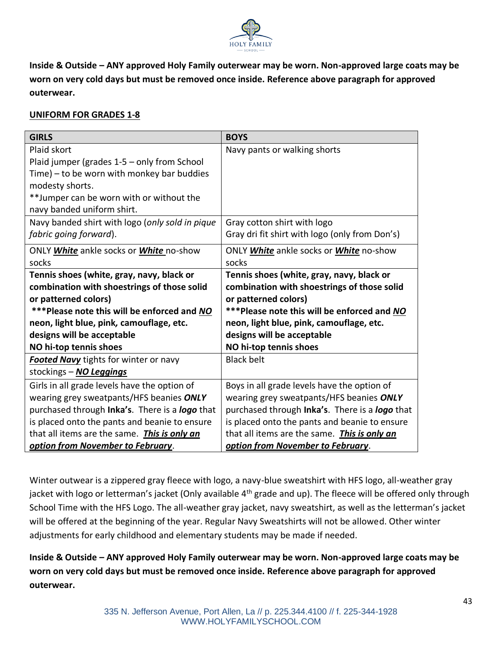

**Inside & Outside – ANY approved Holy Family outerwear may be worn. Non-approved large coats may be worn on very cold days but must be removed once inside. Reference above paragraph for approved outerwear.**

## **UNIFORM FOR GRADES 1-8**

| <b>GIRLS</b>                                    | <b>BOYS</b>                                    |  |
|-------------------------------------------------|------------------------------------------------|--|
| Plaid skort                                     | Navy pants or walking shorts                   |  |
| Plaid jumper (grades 1-5 - only from School     |                                                |  |
| Time) – to be worn with monkey bar buddies      |                                                |  |
| modesty shorts.                                 |                                                |  |
| **Jumper can be worn with or without the        |                                                |  |
| navy banded uniform shirt.                      |                                                |  |
| Navy banded shirt with logo (only sold in pique | Gray cotton shirt with logo                    |  |
| fabric going forward).                          | Gray dri fit shirt with logo (only from Don's) |  |
| ONLY White ankle socks or White no-show         | ONLY White ankle socks or White no-show        |  |
| socks                                           | socks                                          |  |
| Tennis shoes (white, gray, navy, black or       | Tennis shoes (white, gray, navy, black or      |  |
| combination with shoestrings of those solid     | combination with shoestrings of those solid    |  |
| or patterned colors)                            | or patterned colors)                           |  |
| ***Please note this will be enforced and NO     | ***Please note this will be enforced and NO    |  |
| neon, light blue, pink, camouflage, etc.        | neon, light blue, pink, camouflage, etc.       |  |
| designs will be acceptable                      | designs will be acceptable                     |  |
| NO hi-top tennis shoes                          | NO hi-top tennis shoes                         |  |
| <b>Footed Navy</b> tights for winter or navy    | <b>Black belt</b>                              |  |
| stockings - NO Leggings                         |                                                |  |
| Girls in all grade levels have the option of    | Boys in all grade levels have the option of    |  |
| wearing grey sweatpants/HFS beanies ONLY        | wearing grey sweatpants/HFS beanies ONLY       |  |
| purchased through Inka's. There is a logo that  | purchased through Inka's. There is a logo that |  |
| is placed onto the pants and beanie to ensure   | is placed onto the pants and beanie to ensure  |  |
| that all items are the same. This is only an    | that all items are the same. This is only an   |  |
| option from November to February.               | option from November to February.              |  |

Winter outwear is a zippered gray fleece with logo, a navy-blue sweatshirt with HFS logo, all-weather gray jacket with logo or letterman's jacket (Only available 4<sup>th</sup> grade and up). The fleece will be offered only through School Time with the HFS Logo. The all-weather gray jacket, navy sweatshirt, as well as the letterman's jacket will be offered at the beginning of the year. Regular Navy Sweatshirts will not be allowed. Other winter adjustments for early childhood and elementary students may be made if needed.

**Inside & Outside – ANY approved Holy Family outerwear may be worn. Non-approved large coats may be worn on very cold days but must be removed once inside. Reference above paragraph for approved outerwear.**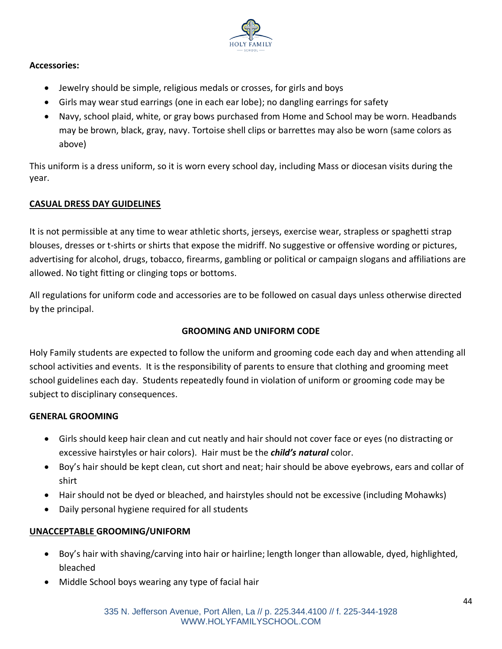

## **Accessories:**

- Jewelry should be simple, religious medals or crosses, for girls and boys
- Girls may wear stud earrings (one in each ear lobe); no dangling earrings for safety
- Navy, school plaid, white, or gray bows purchased from Home and School may be worn. Headbands may be brown, black, gray, navy. Tortoise shell clips or barrettes may also be worn (same colors as above)

This uniform is a dress uniform, so it is worn every school day, including Mass or diocesan visits during the year.

## **CASUAL DRESS DAY GUIDELINES**

It is not permissible at any time to wear athletic shorts, jerseys, exercise wear, strapless or spaghetti strap blouses, dresses or t-shirts or shirts that expose the midriff. No suggestive or offensive wording or pictures, advertising for alcohol, drugs, tobacco, firearms, gambling or political or campaign slogans and affiliations are allowed. No tight fitting or clinging tops or bottoms.

All regulations for uniform code and accessories are to be followed on casual days unless otherwise directed by the principal.

## **GROOMING AND UNIFORM CODE**

Holy Family students are expected to follow the uniform and grooming code each day and when attending all school activities and events. It is the responsibility of parents to ensure that clothing and grooming meet school guidelines each day. Students repeatedly found in violation of uniform or grooming code may be subject to disciplinary consequences.

#### **GENERAL GROOMING**

- Girls should keep hair clean and cut neatly and hair should not cover face or eyes (no distracting or excessive hairstyles or hair colors). Hair must be the *child's natural* color.
- Boy's hair should be kept clean, cut short and neat; hair should be above eyebrows, ears and collar of shirt
- Hair should not be dyed or bleached, and hairstyles should not be excessive (including Mohawks)
- Daily personal hygiene required for all students

## **UNACCEPTABLE GROOMING/UNIFORM**

- Boy's hair with shaving/carving into hair or hairline; length longer than allowable, dyed, highlighted, bleached
- Middle School boys wearing any type of facial hair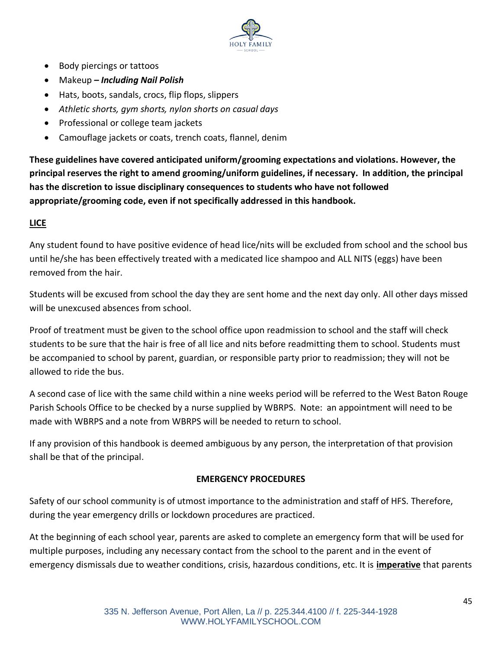

- Body piercings or tattoos
- Makeup *– Including Nail Polish*
- Hats, boots, sandals, crocs, flip flops, slippers
- *Athletic shorts, gym shorts, nylon shorts on casual days*
- Professional or college team jackets
- Camouflage jackets or coats, trench coats, flannel, denim

**These guidelines have covered anticipated uniform/grooming expectations and violations. However, the principal reserves the right to amend grooming/uniform guidelines, if necessary. In addition, the principal has the discretion to issue disciplinary consequences to students who have not followed appropriate/grooming code, even if not specifically addressed in this handbook.**

## **LICE**

Any student found to have positive evidence of head lice/nits will be excluded from school and the school bus until he/she has been effectively treated with a medicated lice shampoo and ALL NITS (eggs) have been removed from the hair.

Students will be excused from school the day they are sent home and the next day only. All other days missed will be unexcused absences from school.

Proof of treatment must be given to the school office upon readmission to school and the staff will check students to be sure that the hair is free of all lice and nits before readmitting them to school. Students must be accompanied to school by parent, guardian, or responsible party prior to readmission; they will not be allowed to ride the bus.

A second case of lice with the same child within a nine weeks period will be referred to the West Baton Rouge Parish Schools Office to be checked by a nurse supplied by WBRPS. Note: an appointment will need to be made with WBRPS and a note from WBRPS will be needed to return to school.

If any provision of this handbook is deemed ambiguous by any person, the interpretation of that provision shall be that of the principal.

## **EMERGENCY PROCEDURES**

Safety of our school community is of utmost importance to the administration and staff of HFS. Therefore, during the year emergency drills or lockdown procedures are practiced.

At the beginning of each school year, parents are asked to complete an emergency form that will be used for multiple purposes, including any necessary contact from the school to the parent and in the event of emergency dismissals due to weather conditions, crisis, hazardous conditions, etc. It is **imperative** that parents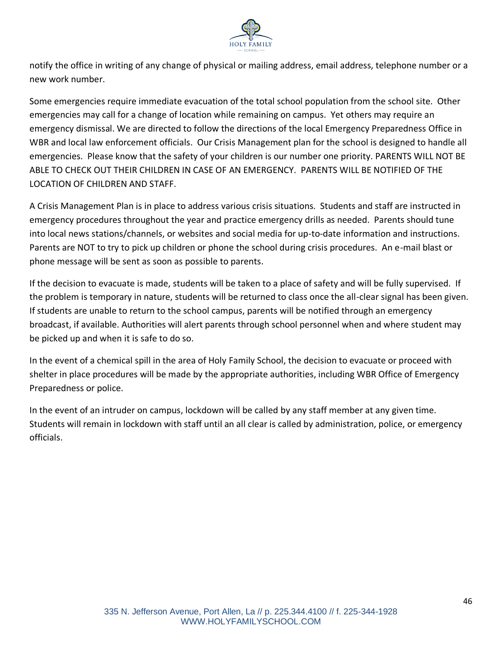

notify the office in writing of any change of physical or mailing address, email address, telephone number or a new work number.

Some emergencies require immediate evacuation of the total school population from the school site. Other emergencies may call for a change of location while remaining on campus. Yet others may require an emergency dismissal. We are directed to follow the directions of the local Emergency Preparedness Office in WBR and local law enforcement officials. Our Crisis Management plan for the school is designed to handle all emergencies. Please know that the safety of your children is our number one priority. PARENTS WILL NOT BE ABLE TO CHECK OUT THEIR CHILDREN IN CASE OF AN EMERGENCY. PARENTS WILL BE NOTIFIED OF THE LOCATION OF CHILDREN AND STAFF.

A Crisis Management Plan is in place to address various crisis situations. Students and staff are instructed in emergency procedures throughout the year and practice emergency drills as needed. Parents should tune into local news stations/channels, or websites and social media for up-to-date information and instructions. Parents are NOT to try to pick up children or phone the school during crisis procedures. An e-mail blast or phone message will be sent as soon as possible to parents.

If the decision to evacuate is made, students will be taken to a place of safety and will be fully supervised. If the problem is temporary in nature, students will be returned to class once the all-clear signal has been given. If students are unable to return to the school campus, parents will be notified through an emergency broadcast, if available. Authorities will alert parents through school personnel when and where student may be picked up and when it is safe to do so.

In the event of a chemical spill in the area of Holy Family School, the decision to evacuate or proceed with shelter in place procedures will be made by the appropriate authorities, including WBR Office of Emergency Preparedness or police.

In the event of an intruder on campus, lockdown will be called by any staff member at any given time. Students will remain in lockdown with staff until an all clear is called by administration, police, or emergency officials.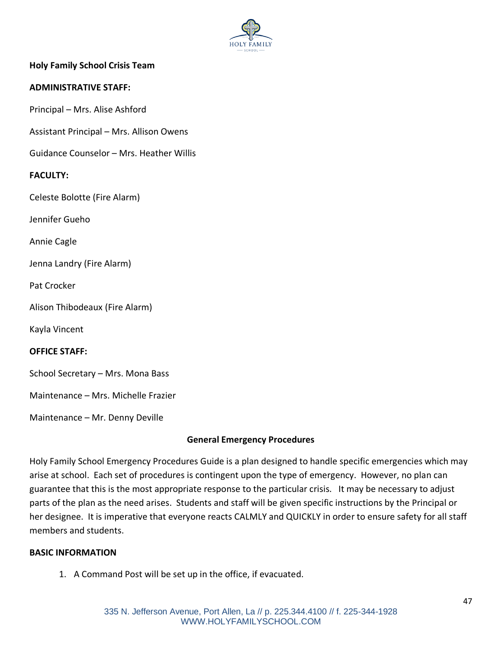

## **Holy Family School Crisis Team**

#### **ADMINISTRATIVE STAFF:**

Principal – Mrs. Alise Ashford

Assistant Principal – Mrs. Allison Owens

Guidance Counselor – Mrs. Heather Willis

#### **FACULTY:**

Celeste Bolotte (Fire Alarm)

Jennifer Gueho

Annie Cagle

Jenna Landry (Fire Alarm)

Pat Crocker

Alison Thibodeaux (Fire Alarm)

Kayla Vincent

**OFFICE STAFF:**

School Secretary – Mrs. Mona Bass

Maintenance – Mrs. Michelle Frazier

Maintenance – Mr. Denny Deville

#### **General Emergency Procedures**

Holy Family School Emergency Procedures Guide is a plan designed to handle specific emergencies which may arise at school. Each set of procedures is contingent upon the type of emergency. However, no plan can guarantee that this is the most appropriate response to the particular crisis. It may be necessary to adjust parts of the plan as the need arises. Students and staff will be given specific instructions by the Principal or her designee. It is imperative that everyone reacts CALMLY and QUICKLY in order to ensure safety for all staff members and students.

#### **BASIC INFORMATION**

1. A Command Post will be set up in the office, if evacuated.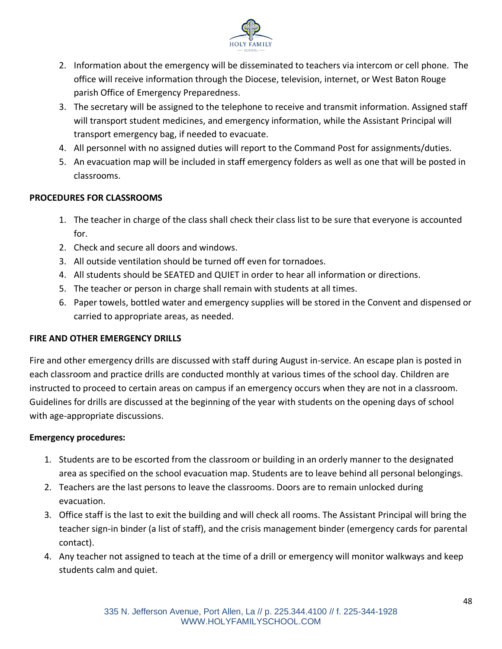

- 2. Information about the emergency will be disseminated to teachers via intercom or cell phone. The office will receive information through the Diocese, television, internet, or West Baton Rouge parish Office of Emergency Preparedness.
- 3. The secretary will be assigned to the telephone to receive and transmit information. Assigned staff will transport student medicines, and emergency information, while the Assistant Principal will transport emergency bag, if needed to evacuate.
- 4. All personnel with no assigned duties will report to the Command Post for assignments/duties.
- 5. An evacuation map will be included in staff emergency folders as well as one that will be posted in classrooms.

## **PROCEDURES FOR CLASSROOMS**

- 1. The teacher in charge of the class shall check their class list to be sure that everyone is accounted for.
- 2. Check and secure all doors and windows.
- 3. All outside ventilation should be turned off even for tornadoes.
- 4. All students should be SEATED and QUIET in order to hear all information or directions.
- 5. The teacher or person in charge shall remain with students at all times.
- 6. Paper towels, bottled water and emergency supplies will be stored in the Convent and dispensed or carried to appropriate areas, as needed.

## **FIRE AND OTHER EMERGENCY DRILLS**

Fire and other emergency drills are discussed with staff during August in-service. An escape plan is posted in each classroom and practice drills are conducted monthly at various times of the school day. Children are instructed to proceed to certain areas on campus if an emergency occurs when they are not in a classroom. Guidelines for drills are discussed at the beginning of the year with students on the opening days of school with age-appropriate discussions.

## **Emergency procedures:**

- 1. Students are to be escorted from the classroom or building in an orderly manner to the designated area as specified on the school evacuation map. Students are to leave behind all personal belongings.
- 2. Teachers are the last persons to leave the classrooms. Doors are to remain unlocked during evacuation.
- 3. Office staff is the last to exit the building and will check all rooms. The Assistant Principal will bring the teacher sign-in binder (a list of staff), and the crisis management binder (emergency cards for parental contact).
- 4. Any teacher not assigned to teach at the time of a drill or emergency will monitor walkways and keep students calm and quiet.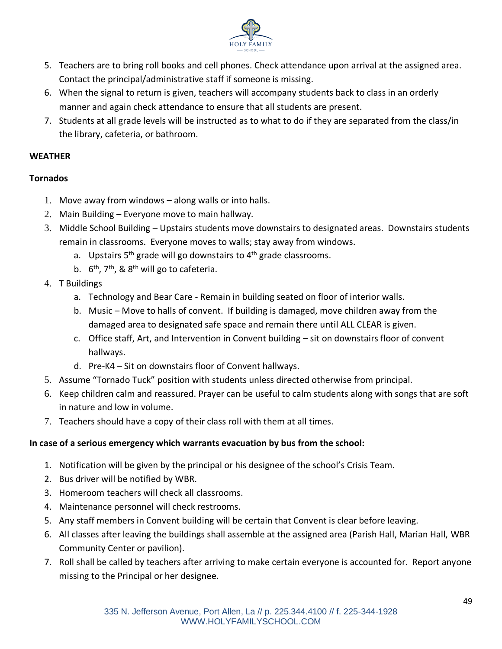

- 5. Teachers are to bring roll books and cell phones. Check attendance upon arrival at the assigned area. Contact the principal/administrative staff if someone is missing.
- 6. When the signal to return is given, teachers will accompany students back to class in an orderly manner and again check attendance to ensure that all students are present.
- 7. Students at all grade levels will be instructed as to what to do if they are separated from the class/in the library, cafeteria, or bathroom.

## **WEATHER**

## **Tornados**

- 1. Move away from windows along walls or into halls.
- 2. Main Building Everyone move to main hallway.
- 3. Middle School Building Upstairs students move downstairs to designated areas. Downstairs students remain in classrooms. Everyone moves to walls; stay away from windows.
	- a. Upstairs  $5<sup>th</sup>$  grade will go downstairs to  $4<sup>th</sup>$  grade classrooms.
	- b.  $6<sup>th</sup>$ , 7<sup>th</sup>, & 8<sup>th</sup> will go to cafeteria.
- 4. T Buildings
	- a. Technology and Bear Care Remain in building seated on floor of interior walls.
	- b. Music Move to halls of convent. If building is damaged, move children away from the damaged area to designated safe space and remain there until ALL CLEAR is given.
	- c. Office staff, Art, and Intervention in Convent building sit on downstairs floor of convent hallways.
	- d. Pre-K4 Sit on downstairs floor of Convent hallways.
- 5. Assume "Tornado Tuck" position with students unless directed otherwise from principal.
- 6. Keep children calm and reassured. Prayer can be useful to calm students along with songs that are soft in nature and low in volume.
- 7. Teachers should have a copy of their class roll with them at all times.

## **In case of a serious emergency which warrants evacuation by bus from the school:**

- 1. Notification will be given by the principal or his designee of the school's Crisis Team.
- 2. Bus driver will be notified by WBR.
- 3. Homeroom teachers will check all classrooms.
- 4. Maintenance personnel will check restrooms.
- 5. Any staff members in Convent building will be certain that Convent is clear before leaving.
- 6. All classes after leaving the buildings shall assemble at the assigned area (Parish Hall, Marian Hall, WBR Community Center or pavilion).
- 7. Roll shall be called by teachers after arriving to make certain everyone is accounted for. Report anyone missing to the Principal or her designee.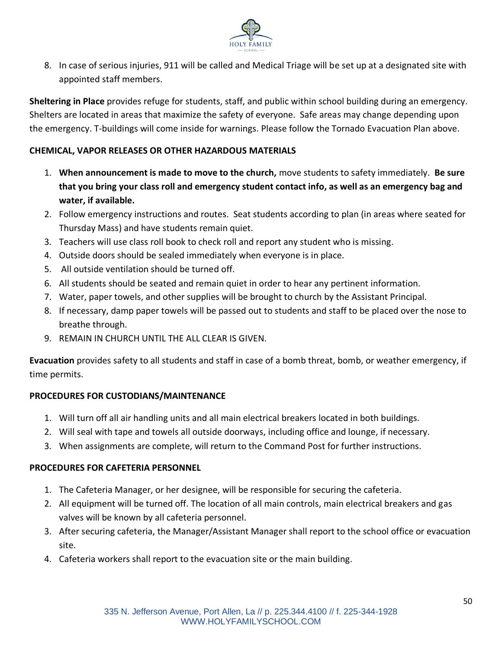

8. In case of serious injuries, 911 will be called and Medical Triage will be set up at a designated site with appointed staff members.

**Sheltering in Place** provides refuge for students, staff, and public within school building during an emergency. Shelters are located in areas that maximize the safety of everyone. Safe areas may change depending upon the emergency. T-buildings will come inside for warnings. Please follow the Tornado Evacuation Plan above.

## **CHEMICAL, VAPOR RELEASES OR OTHER HAZARDOUS MATERIALS**

- 1. **When announcement is made to move to the church,** move students to safety immediately. **Be sure that you bring your class roll and emergency student contact info, as well as an emergency bag and water, if available.**
- 2. Follow emergency instructions and routes. Seat students according to plan (in areas where seated for Thursday Mass) and have students remain quiet.
- 3. Teachers will use class roll book to check roll and report any student who is missing.
- 4. Outside doors should be sealed immediately when everyone is in place.
- 5. All outside ventilation should be turned off.
- 6. All students should be seated and remain quiet in order to hear any pertinent information.
- 7. Water, paper towels, and other supplies will be brought to church by the Assistant Principal.
- 8. If necessary, damp paper towels will be passed out to students and staff to be placed over the nose to breathe through.
- 9. REMAIN IN CHURCH UNTIL THE ALL CLEAR IS GIVEN.

**Evacuation** provides safety to all students and staff in case of a bomb threat, bomb, or weather emergency, if time permits.

## **PROCEDURES FOR CUSTODIANS/MAINTENANCE**

- 1. Will turn off all air handling units and all main electrical breakers located in both buildings.
- 2. Will seal with tape and towels all outside doorways, including office and lounge, if necessary.
- 3. When assignments are complete, will return to the Command Post for further instructions.

## **PROCEDURES FOR CAFETERIA PERSONNEL**

- 1. The Cafeteria Manager, or her designee, will be responsible for securing the cafeteria.
- 2. All equipment will be turned off. The location of all main controls, main electrical breakers and gas valves will be known by all cafeteria personnel.
- 3. After securing cafeteria, the Manager/Assistant Manager shall report to the school office or evacuation site.
- 4. Cafeteria workers shall report to the evacuation site or the main building.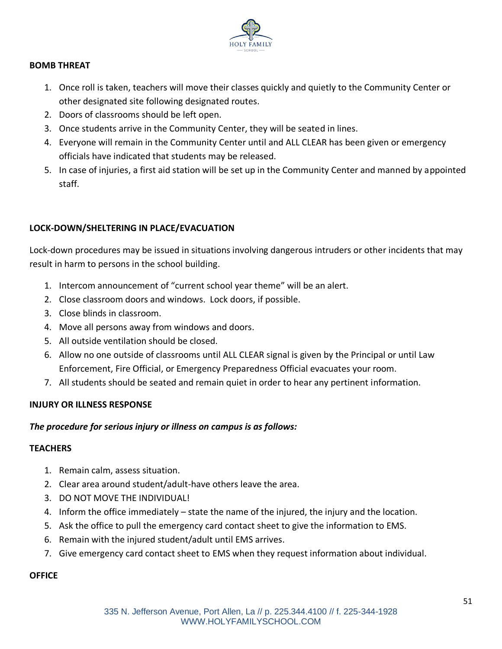

## **BOMB THREAT**

- 1. Once roll is taken, teachers will move their classes quickly and quietly to the Community Center or other designated site following designated routes.
- 2. Doors of classrooms should be left open.
- 3. Once students arrive in the Community Center, they will be seated in lines.
- 4. Everyone will remain in the Community Center until and ALL CLEAR has been given or emergency officials have indicated that students may be released.
- 5. In case of injuries, a first aid station will be set up in the Community Center and manned by appointed staff.

## **LOCK-DOWN/SHELTERING IN PLACE/EVACUATION**

Lock-down procedures may be issued in situations involving dangerous intruders or other incidents that may result in harm to persons in the school building.

- 1. Intercom announcement of "current school year theme" will be an alert.
- 2. Close classroom doors and windows. Lock doors, if possible.
- 3. Close blinds in classroom.
- 4. Move all persons away from windows and doors.
- 5. All outside ventilation should be closed.
- 6. Allow no one outside of classrooms until ALL CLEAR signal is given by the Principal or until Law Enforcement, Fire Official, or Emergency Preparedness Official evacuates your room.
- 7. All students should be seated and remain quiet in order to hear any pertinent information.

#### **INJURY OR ILLNESS RESPONSE**

#### *The procedure for serious injury or illness on campus is as follows:*

#### **TEACHERS**

- 1. Remain calm, assess situation.
- 2. Clear area around student/adult-have others leave the area.
- 3. DO NOT MOVE THE INDIVIDUAL!
- 4. Inform the office immediately state the name of the injured, the injury and the location.
- 5. Ask the office to pull the emergency card contact sheet to give the information to EMS.
- 6. Remain with the injured student/adult until EMS arrives.
- 7. Give emergency card contact sheet to EMS when they request information about individual.

#### **OFFICE**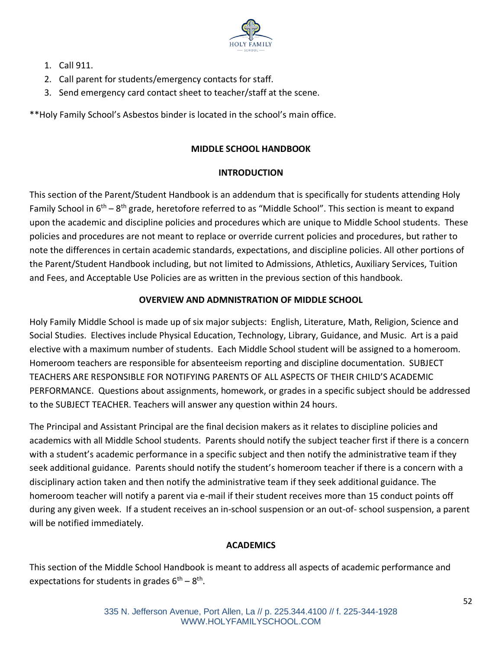

- 1. Call 911.
- 2. Call parent for students/emergency contacts for staff.
- 3. Send emergency card contact sheet to teacher/staff at the scene.

\*\*Holy Family School's Asbestos binder is located in the school's main office.

## **MIDDLE SCHOOL HANDBOOK**

## **INTRODUCTION**

This section of the Parent/Student Handbook is an addendum that is specifically for students attending Holy Family School in 6<sup>th</sup> – 8<sup>th</sup> grade, heretofore referred to as "Middle School". This section is meant to expand upon the academic and discipline policies and procedures which are unique to Middle School students. These policies and procedures are not meant to replace or override current policies and procedures, but rather to note the differences in certain academic standards, expectations, and discipline policies. All other portions of the Parent/Student Handbook including, but not limited to Admissions, Athletics, Auxiliary Services, Tuition and Fees, and Acceptable Use Policies are as written in the previous section of this handbook.

## **OVERVIEW AND ADMNISTRATION OF MIDDLE SCHOOL**

Holy Family Middle School is made up of six major subjects: English, Literature, Math, Religion, Science and Social Studies. Electives include Physical Education, Technology, Library, Guidance, and Music. Art is a paid elective with a maximum number of students. Each Middle School student will be assigned to a homeroom. Homeroom teachers are responsible for absenteeism reporting and discipline documentation. SUBJECT TEACHERS ARE RESPONSIBLE FOR NOTIFYING PARENTS OF ALL ASPECTS OF THEIR CHILD'S ACADEMIC PERFORMANCE. Questions about assignments, homework, or grades in a specific subject should be addressed to the SUBJECT TEACHER. Teachers will answer any question within 24 hours.

The Principal and Assistant Principal are the final decision makers as it relates to discipline policies and academics with all Middle School students. Parents should notify the subject teacher first if there is a concern with a student's academic performance in a specific subject and then notify the administrative team if they seek additional guidance. Parents should notify the student's homeroom teacher if there is a concern with a disciplinary action taken and then notify the administrative team if they seek additional guidance. The homeroom teacher will notify a parent via e-mail if their student receives more than 15 conduct points off during any given week. If a student receives an in-school suspension or an out-of- school suspension, a parent will be notified immediately.

# **ACADEMICS**

This section of the Middle School Handbook is meant to address all aspects of academic performance and expectations for students in grades  $6^{th} - 8^{th}$ .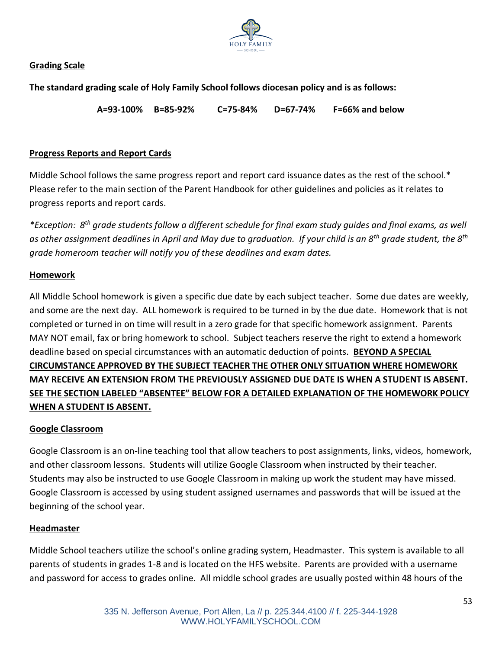

## **Grading Scale**

**The standard grading scale of Holy Family School follows diocesan policy and is as follows:**

**A=93-100% B=85-92% C=75-84% D=67-74% F=66% and below**

#### **Progress Reports and Report Cards**

Middle School follows the same progress report and report card issuance dates as the rest of the school.\* Please refer to the main section of the Parent Handbook for other guidelines and policies as it relates to progress reports and report cards.

*\*Exception: 8th grade students follow a different schedule for final exam study guides and final exams, as well as other assignment deadlines in April and May due to graduation. If your child is an 8th grade student, the 8th grade homeroom teacher will notify you of these deadlines and exam dates.*

#### **Homework**

All Middle School homework is given a specific due date by each subject teacher. Some due dates are weekly, and some are the next day. ALL homework is required to be turned in by the due date. Homework that is not completed or turned in on time will result in a zero grade for that specific homework assignment. Parents MAY NOT email, fax or bring homework to school. Subject teachers reserve the right to extend a homework deadline based on special circumstances with an automatic deduction of points. **BEYOND A SPECIAL CIRCUMSTANCE APPROVED BY THE SUBJECT TEACHER THE OTHER ONLY SITUATION WHERE HOMEWORK MAY RECEIVE AN EXTENSION FROM THE PREVIOUSLY ASSIGNED DUE DATE IS WHEN A STUDENT IS ABSENT. SEE THE SECTION LABELED "ABSENTEE" BELOW FOR A DETAILED EXPLANATION OF THE HOMEWORK POLICY WHEN A STUDENT IS ABSENT.**

#### **Google Classroom**

Google Classroom is an on-line teaching tool that allow teachers to post assignments, links, videos, homework, and other classroom lessons. Students will utilize Google Classroom when instructed by their teacher. Students may also be instructed to use Google Classroom in making up work the student may have missed. Google Classroom is accessed by using student assigned usernames and passwords that will be issued at the beginning of the school year.

#### **Headmaster**

Middle School teachers utilize the school's online grading system, Headmaster. This system is available to all parents of students in grades 1-8 and is located on the HFS website. Parents are provided with a username and password for access to grades online. All middle school grades are usually posted within 48 hours of the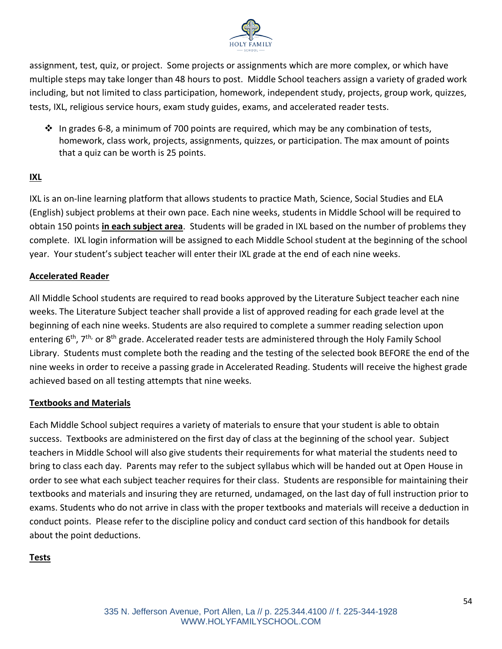

assignment, test, quiz, or project. Some projects or assignments which are more complex, or which have multiple steps may take longer than 48 hours to post. Middle School teachers assign a variety of graded work including, but not limited to class participation, homework, independent study, projects, group work, quizzes, tests, IXL, religious service hours, exam study guides, exams, and accelerated reader tests.

 $\div$  In grades 6-8, a minimum of 700 points are required, which may be any combination of tests, homework, class work, projects, assignments, quizzes, or participation. The max amount of points that a quiz can be worth is 25 points.

## **IXL**

IXL is an on-line learning platform that allows students to practice Math, Science, Social Studies and ELA (English) subject problems at their own pace. Each nine weeks, students in Middle School will be required to obtain 150 points **in each subject area**. Students will be graded in IXL based on the number of problems they complete. IXL login information will be assigned to each Middle School student at the beginning of the school year. Your student's subject teacher will enter their IXL grade at the end of each nine weeks.

## **Accelerated Reader**

All Middle School students are required to read books approved by the Literature Subject teacher each nine weeks. The Literature Subject teacher shall provide a list of approved reading for each grade level at the beginning of each nine weeks. Students are also required to complete a summer reading selection upon entering 6<sup>th</sup>, 7<sup>th,</sup> or 8<sup>th</sup> grade. Accelerated reader tests are administered through the Holy Family School Library. Students must complete both the reading and the testing of the selected book BEFORE the end of the nine weeks in order to receive a passing grade in Accelerated Reading. Students will receive the highest grade achieved based on all testing attempts that nine weeks.

## **Textbooks and Materials**

Each Middle School subject requires a variety of materials to ensure that your student is able to obtain success. Textbooks are administered on the first day of class at the beginning of the school year. Subject teachers in Middle School will also give students their requirements for what material the students need to bring to class each day. Parents may refer to the subject syllabus which will be handed out at Open House in order to see what each subject teacher requires for their class. Students are responsible for maintaining their textbooks and materials and insuring they are returned, undamaged, on the last day of full instruction prior to exams. Students who do not arrive in class with the proper textbooks and materials will receive a deduction in conduct points. Please refer to the discipline policy and conduct card section of this handbook for details about the point deductions.

## **Tests**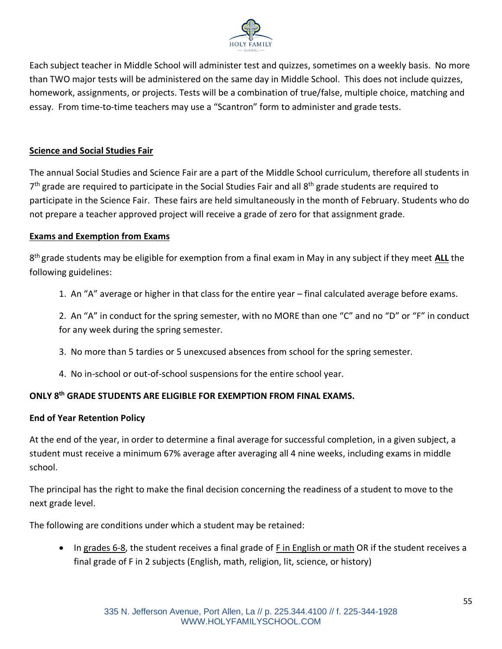

Each subject teacher in Middle School will administer test and quizzes, sometimes on a weekly basis. No more than TWO major tests will be administered on the same day in Middle School. This does not include quizzes, homework, assignments, or projects. Tests will be a combination of true/false, multiple choice, matching and essay. From time-to-time teachers may use a "Scantron" form to administer and grade tests.

## **Science and Social Studies Fair**

The annual Social Studies and Science Fair are a part of the Middle School curriculum, therefore all students in 7<sup>th</sup> grade are required to participate in the Social Studies Fair and all 8<sup>th</sup> grade students are required to participate in the Science Fair. These fairs are held simultaneously in the month of February. Students who do not prepare a teacher approved project will receive a grade of zero for that assignment grade.

#### **Exams and Exemption from Exams**

8 th grade students may be eligible for exemption from a final exam in May in any subject if they meet **ALL** the following guidelines:

1. An "A" average or higher in that class for the entire year – final calculated average before exams.

2. An "A" in conduct for the spring semester, with no MORE than one "C" and no "D" or "F" in conduct for any week during the spring semester.

- 3. No more than 5 tardies or 5 unexcused absences from school for the spring semester.
- 4. No in-school or out-of-school suspensions for the entire school year.

# **ONLY 8th GRADE STUDENTS ARE ELIGIBLE FOR EXEMPTION FROM FINAL EXAMS.**

# **End of Year Retention Policy**

At the end of the year, in order to determine a final average for successful completion, in a given subject, a student must receive a minimum 67% average after averaging all 4 nine weeks, including exams in middle school.

The principal has the right to make the final decision concerning the readiness of a student to move to the next grade level.

The following are conditions under which a student may be retained:

• In grades 6-8, the student receives a final grade of F in English or math OR if the student receives a final grade of F in 2 subjects (English, math, religion, lit, science, or history)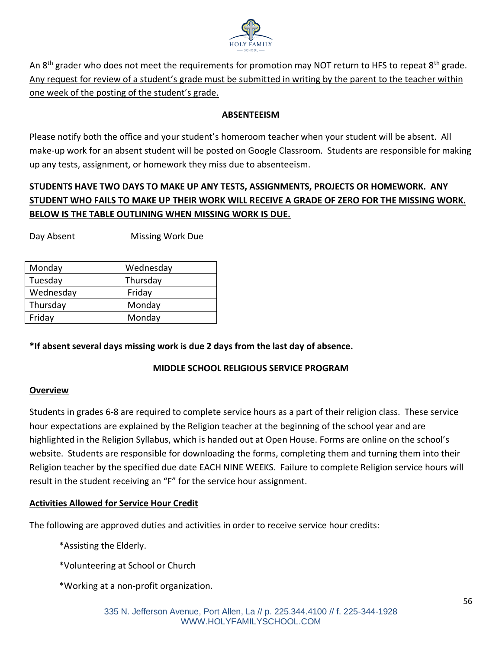

An 8<sup>th</sup> grader who does not meet the requirements for promotion may NOT return to HFS to repeat 8<sup>th</sup> grade. Any request for review of a student's grade must be submitted in writing by the parent to the teacher within one week of the posting of the student's grade.

## **ABSENTEEISM**

Please notify both the office and your student's homeroom teacher when your student will be absent. All make-up work for an absent student will be posted on Google Classroom. Students are responsible for making up any tests, assignment, or homework they miss due to absenteeism.

# **STUDENTS HAVE TWO DAYS TO MAKE UP ANY TESTS, ASSIGNMENTS, PROJECTS OR HOMEWORK. ANY STUDENT WHO FAILS TO MAKE UP THEIR WORK WILL RECEIVE A GRADE OF ZERO FOR THE MISSING WORK. BELOW IS THE TABLE OUTLINING WHEN MISSING WORK IS DUE.**

Day Absent Missing Work Due

| Monday    | Wednesday |
|-----------|-----------|
| Tuesday   | Thursday  |
| Wednesday | Friday    |
| Thursday  | Monday    |
| Friday    | Monday    |
|           |           |

## **\*If absent several days missing work is due 2 days from the last day of absence.**

## **MIDDLE SCHOOL RELIGIOUS SERVICE PROGRAM**

## **Overview**

Students in grades 6-8 are required to complete service hours as a part of their religion class. These service hour expectations are explained by the Religion teacher at the beginning of the school year and are highlighted in the Religion Syllabus, which is handed out at Open House. Forms are online on the school's website. Students are responsible for downloading the forms, completing them and turning them into their Religion teacher by the specified due date EACH NINE WEEKS. Failure to complete Religion service hours will result in the student receiving an "F" for the service hour assignment.

## **Activities Allowed for Service Hour Credit**

The following are approved duties and activities in order to receive service hour credits:

\*Assisting the Elderly.

\*Volunteering at School or Church

\*Working at a non-profit organization.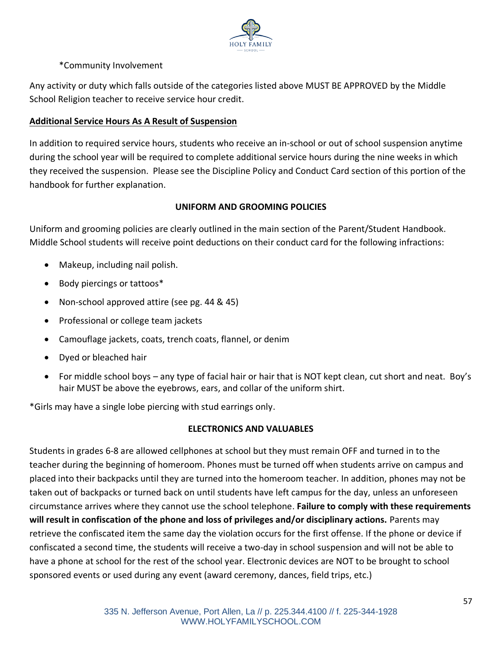

## \*Community Involvement

Any activity or duty which falls outside of the categories listed above MUST BE APPROVED by the Middle School Religion teacher to receive service hour credit.

## **Additional Service Hours As A Result of Suspension**

In addition to required service hours, students who receive an in-school or out of school suspension anytime during the school year will be required to complete additional service hours during the nine weeks in which they received the suspension. Please see the Discipline Policy and Conduct Card section of this portion of the handbook for further explanation.

## **UNIFORM AND GROOMING POLICIES**

Uniform and grooming policies are clearly outlined in the main section of the Parent/Student Handbook. Middle School students will receive point deductions on their conduct card for the following infractions:

- Makeup, including nail polish.
- Body piercings or tattoos\*
- Non-school approved attire (see pg. 44 & 45)
- Professional or college team jackets
- Camouflage jackets, coats, trench coats, flannel, or denim
- Dyed or bleached hair
- For middle school boys any type of facial hair or hair that is NOT kept clean, cut short and neat. Boy's hair MUST be above the eyebrows, ears, and collar of the uniform shirt.

\*Girls may have a single lobe piercing with stud earrings only.

#### **ELECTRONICS AND VALUABLES**

Students in grades 6-8 are allowed cellphones at school but they must remain OFF and turned in to the teacher during the beginning of homeroom. Phones must be turned off when students arrive on campus and placed into their backpacks until they are turned into the homeroom teacher. In addition, phones may not be taken out of backpacks or turned back on until students have left campus for the day, unless an unforeseen circumstance arrives where they cannot use the school telephone. **Failure to comply with these requirements will result in confiscation of the phone and loss of privileges and/or disciplinary actions.** Parents may retrieve the confiscated item the same day the violation occurs for the first offense. If the phone or device if confiscated a second time, the students will receive a two-day in school suspension and will not be able to have a phone at school for the rest of the school year. Electronic devices are NOT to be brought to school sponsored events or used during any event (award ceremony, dances, field trips, etc.)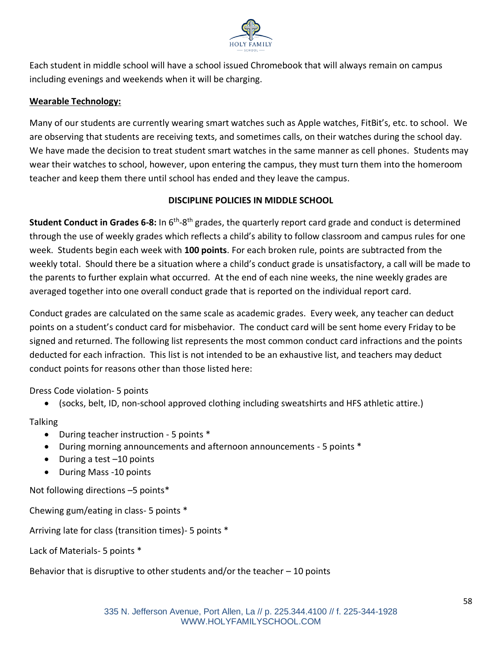

Each student in middle school will have a school issued Chromebook that will always remain on campus including evenings and weekends when it will be charging.

## **Wearable Technology:**

Many of our students are currently wearing smart watches such as Apple watches, FitBit's, etc. to school. We are observing that students are receiving texts, and sometimes calls, on their watches during the school day. We have made the decision to treat student smart watches in the same manner as cell phones. Students may wear their watches to school, however, upon entering the campus, they must turn them into the homeroom teacher and keep them there until school has ended and they leave the campus.

## **DISCIPLINE POLICIES IN MIDDLE SCHOOL**

Student Conduct in Grades 6-8: In 6<sup>th</sup>-8<sup>th</sup> grades, the quarterly report card grade and conduct is determined through the use of weekly grades which reflects a child's ability to follow classroom and campus rules for one week. Students begin each week with **100 points**. For each broken rule, points are subtracted from the weekly total. Should there be a situation where a child's conduct grade is unsatisfactory, a call will be made to the parents to further explain what occurred. At the end of each nine weeks, the nine weekly grades are averaged together into one overall conduct grade that is reported on the individual report card.

Conduct grades are calculated on the same scale as academic grades. Every week, any teacher can deduct points on a student's conduct card for misbehavior. The conduct card will be sent home every Friday to be signed and returned. The following list represents the most common conduct card infractions and the points deducted for each infraction. This list is not intended to be an exhaustive list, and teachers may deduct conduct points for reasons other than those listed here:

Dress Code violation- 5 points

• (socks, belt, ID, non-school approved clothing including sweatshirts and HFS athletic attire.)

Talking

- During teacher instruction 5 points \*
- During morning announcements and afternoon announcements 5 points \*
- During a test –10 points
- During Mass -10 points

Not following directions –5 points\*

Chewing gum/eating in class- 5 points \*

Arriving late for class (transition times)- 5 points \*

Lack of Materials- 5 points \*

Behavior that is disruptive to other students and/or the teacher  $-10$  points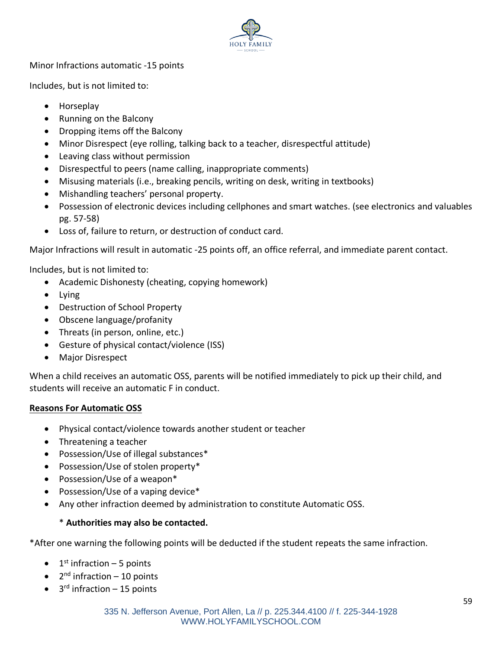

Minor Infractions automatic -15 points

Includes, but is not limited to:

- Horseplay
- Running on the Balcony
- Dropping items off the Balcony
- Minor Disrespect (eye rolling, talking back to a teacher, disrespectful attitude)
- Leaving class without permission
- Disrespectful to peers (name calling, inappropriate comments)
- Misusing materials (i.e., breaking pencils, writing on desk, writing in textbooks)
- Mishandling teachers' personal property.
- Possession of electronic devices including cellphones and smart watches. (see electronics and valuables pg. 57-58)
- Loss of, failure to return, or destruction of conduct card.

Major Infractions will result in automatic -25 points off, an office referral, and immediate parent contact.

Includes, but is not limited to:

- Academic Dishonesty (cheating, copying homework)
- Lying
- Destruction of School Property
- Obscene language/profanity
- Threats (in person, online, etc.)
- Gesture of physical contact/violence (ISS)
- Major Disrespect

When a child receives an automatic OSS, parents will be notified immediately to pick up their child, and students will receive an automatic F in conduct.

## **Reasons For Automatic OSS**

- Physical contact/violence towards another student or teacher
- Threatening a teacher
- Possession/Use of illegal substances\*
- Possession/Use of stolen property\*
- Possession/Use of a weapon\*
- Possession/Use of a vaping device\*
- Any other infraction deemed by administration to constitute Automatic OSS.

## \* **Authorities may also be contacted.**

\*After one warning the following points will be deducted if the student repeats the same infraction.

- $\bullet$  1<sup>st</sup> infraction 5 points
- $\bullet$  2<sup>nd</sup> infraction 10 points
- $\bullet$  3<sup>rd</sup> infraction 15 points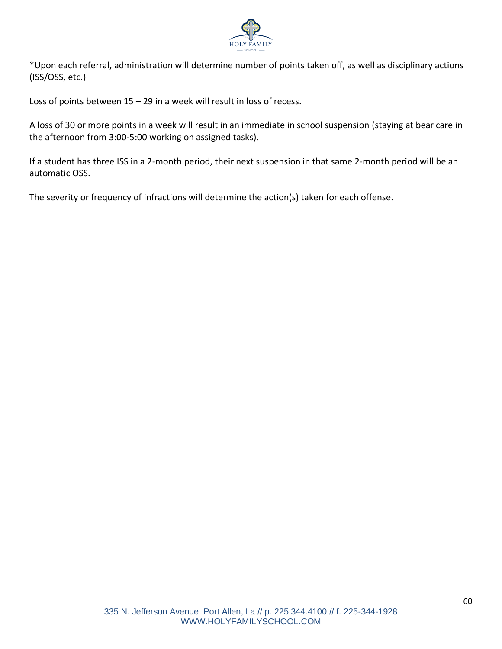

\*Upon each referral, administration will determine number of points taken off, as well as disciplinary actions (ISS/OSS, etc.)

Loss of points between 15 – 29 in a week will result in loss of recess.

A loss of 30 or more points in a week will result in an immediate in school suspension (staying at bear care in the afternoon from 3:00-5:00 working on assigned tasks).

If a student has three ISS in a 2-month period, their next suspension in that same 2-month period will be an automatic OSS.

The severity or frequency of infractions will determine the action(s) taken for each offense.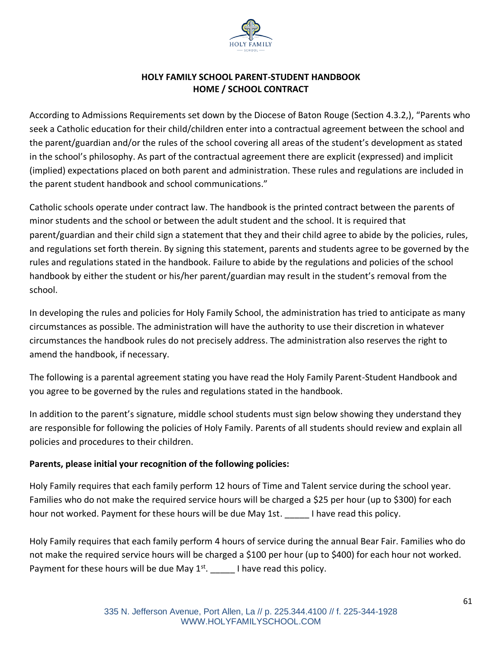

## **HOLY FAMILY SCHOOL PARENT-STUDENT HANDBOOK HOME / SCHOOL CONTRACT**

According to Admissions Requirements set down by the Diocese of Baton Rouge (Section 4.3.2,), "Parents who seek a Catholic education for their child/children enter into a contractual agreement between the school and the parent/guardian and/or the rules of the school covering all areas of the student's development as stated in the school's philosophy. As part of the contractual agreement there are explicit (expressed) and implicit (implied) expectations placed on both parent and administration. These rules and regulations are included in the parent student handbook and school communications."

Catholic schools operate under contract law. The handbook is the printed contract between the parents of minor students and the school or between the adult student and the school. It is required that parent/guardian and their child sign a statement that they and their child agree to abide by the policies, rules, and regulations set forth therein. By signing this statement, parents and students agree to be governed by the rules and regulations stated in the handbook. Failure to abide by the regulations and policies of the school handbook by either the student or his/her parent/guardian may result in the student's removal from the school.

In developing the rules and policies for Holy Family School, the administration has tried to anticipate as many circumstances as possible. The administration will have the authority to use their discretion in whatever circumstances the handbook rules do not precisely address. The administration also reserves the right to amend the handbook, if necessary.

The following is a parental agreement stating you have read the Holy Family Parent-Student Handbook and you agree to be governed by the rules and regulations stated in the handbook.

In addition to the parent's signature, middle school students must sign below showing they understand they are responsible for following the policies of Holy Family. Parents of all students should review and explain all policies and procedures to their children.

## **Parents, please initial your recognition of the following policies:**

Holy Family requires that each family perform 12 hours of Time and Talent service during the school year. Families who do not make the required service hours will be charged a \$25 per hour (up to \$300) for each hour not worked. Payment for these hours will be due May 1st. <br>I have read this policy.

Holy Family requires that each family perform 4 hours of service during the annual Bear Fair. Families who do not make the required service hours will be charged a \$100 per hour (up to \$400) for each hour not worked. Payment for these hours will be due May  $1^{st}$ . \_\_\_\_\_\_ I have read this policy.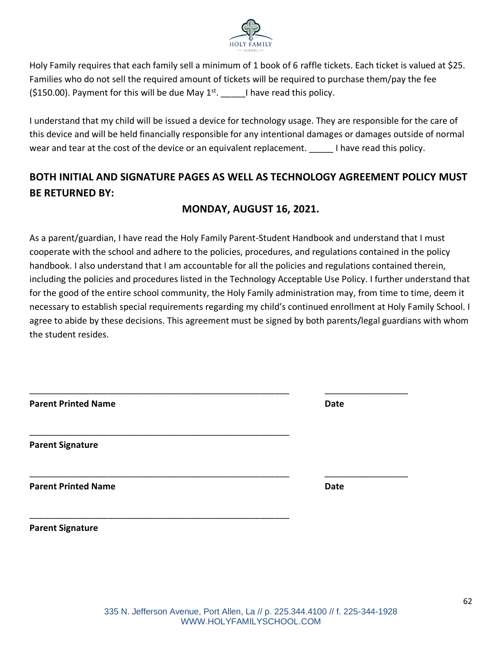

Holy Family requires that each family sell a minimum of 1 book of 6 raffle tickets. Each ticket is valued at \$25. Families who do not sell the required amount of tickets will be required to purchase them/pay the fee (\$150.00). Payment for this will be due May  $1^{st}$ . I have read this policy.

I understand that my child will be issued a device for technology usage. They are responsible for the care of this device and will be held financially responsible for any intentional damages or damages outside of normal wear and tear at the cost of the device or an equivalent replacement. Thave read this policy.

# **BOTH INITIAL AND SIGNATURE PAGES AS WELL AS TECHNOLOGY AGREEMENT POLICY MUST BE RETURNED BY:**

# **MONDAY, AUGUST 16, 2021.**

As a parent/guardian, I have read the Holy Family Parent-Student Handbook and understand that I must cooperate with the school and adhere to the policies, procedures, and regulations contained in the policy handbook. I also understand that I am accountable for all the policies and regulations contained therein, including the policies and procedures listed in the Technology Acceptable Use Policy. I further understand that for the good of the entire school community, the Holy Family administration may, from time to time, deem it necessary to establish special requirements regarding my child's continued enrollment at Holy Family School. I agree to abide by these decisions. This agreement must be signed by both parents/legal guardians with whom the student resides.

| <b>Parent Printed Name</b> | <b>Date</b> |
|----------------------------|-------------|
| <b>Parent Signature</b>    |             |
| <b>Parent Printed Name</b> | <b>Date</b> |
| <b>Parent Signature</b>    |             |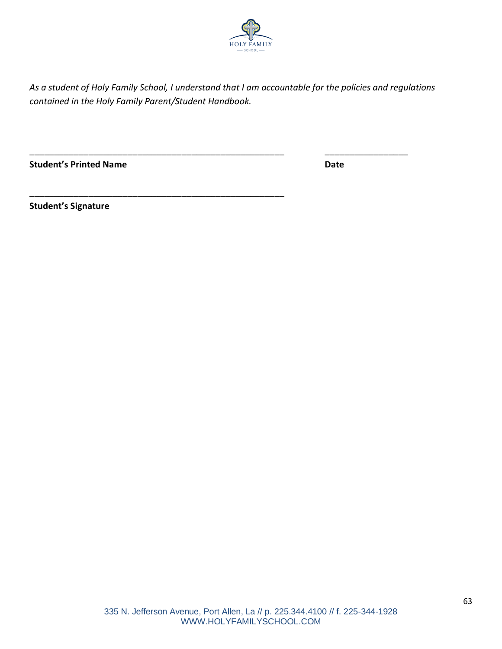

*As a student of Holy Family School, I understand that I am accountable for the policies and regulations contained in the Holy Family Parent/Student Handbook.* 

\_\_\_\_\_\_\_\_\_\_\_\_\_\_\_\_\_\_\_\_\_\_\_\_\_\_\_\_\_\_\_\_\_\_\_\_\_\_\_\_\_\_\_\_\_\_\_\_\_\_\_\_ \_\_\_\_\_\_\_\_\_\_\_\_\_\_\_\_\_

\_\_\_\_\_\_\_\_\_\_\_\_\_\_\_\_\_\_\_\_\_\_\_\_\_\_\_\_\_\_\_\_\_\_\_\_\_\_\_\_\_\_\_\_\_\_\_\_\_\_\_\_

**Student's Printed Name Date**

**Student's Signature**